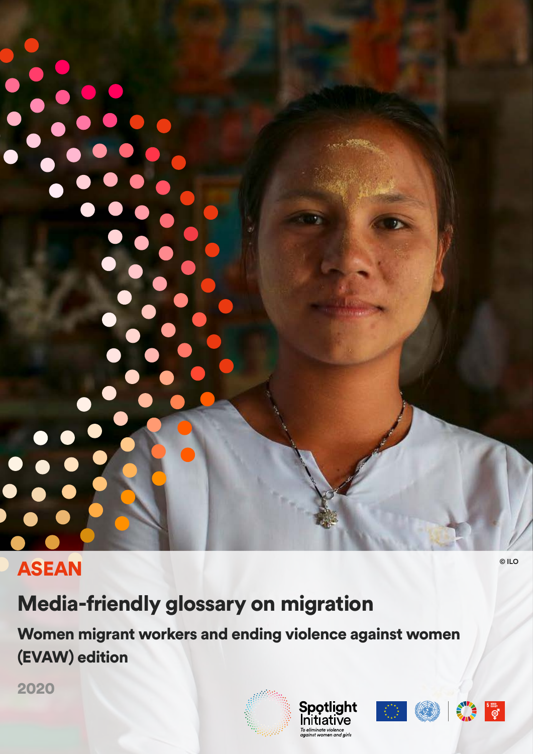## ASEAN

### Media-friendly glossary on migration

Women migrant workers and ending violence against women (EVAW) edition

2020







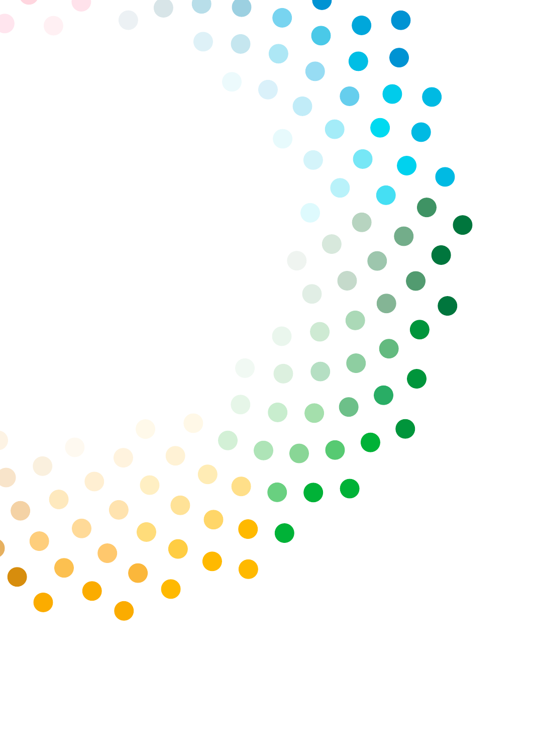Œ ſ  $\bullet$  $\bullet$  $\bullet$  $\bullet$ D  $\bullet$  $\bullet$  $\bullet$ O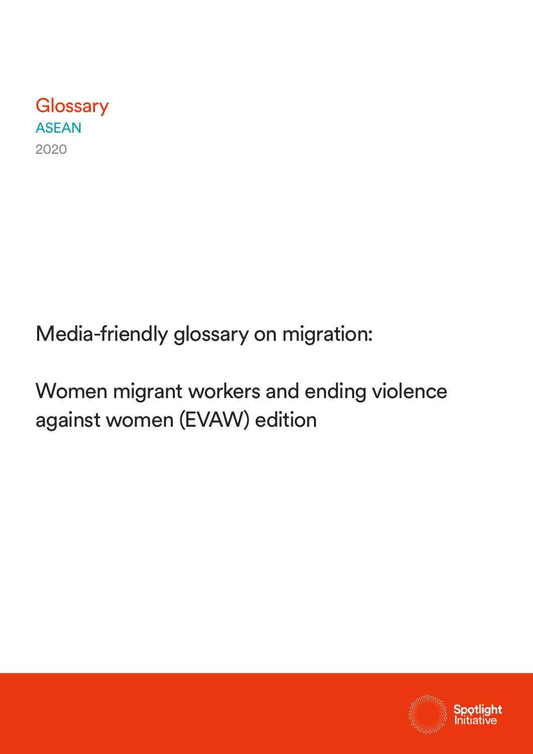### **Glossary** ASEAN 2020

Media-friendly glossary on migration:

Women migrant workers and ending violence against women (EVAW) edition

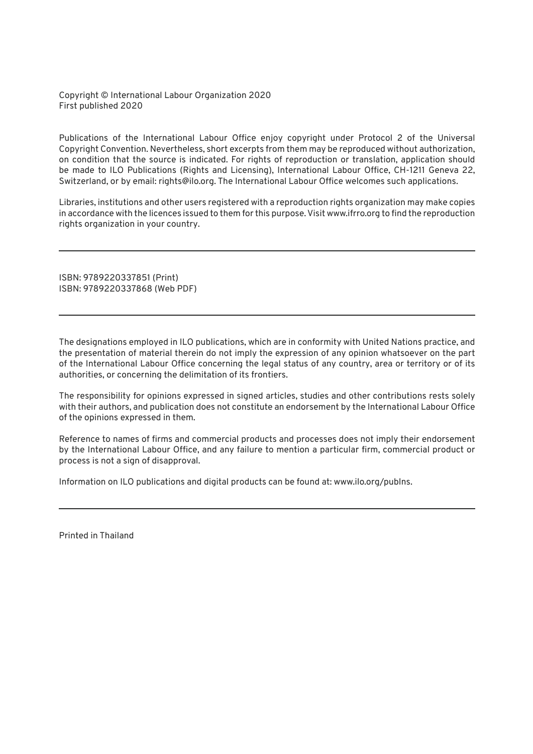Copyright © International Labour Organization 2020 First published 2020

Publications of the International Labour Office enjoy copyright under Protocol 2 of the Universal Copyright Convention. Nevertheless, short excerpts from them may be reproduced without authorization, on condition that the source is indicated. For rights of reproduction or translation, application should be made to ILO Publications (Rights and Licensing), International Labour Office, CH-1211 Geneva 22, Switzerland, or by email: rights@ilo.org. The International Labour Office welcomes such applications.

Libraries, institutions and other users registered with a reproduction rights organization may make copies in accordance with the licences issued to them for this purpose. Visit www.ifrro.org to find the reproduction rights organization in your country.

ISBN: 9789220337851 (Print) ISBN: 9789220337868 (Web PDF)

The designations employed in ILO publications, which are in conformity with United Nations practice, and the presentation of material therein do not imply the expression of any opinion whatsoever on the part of the International Labour Office concerning the legal status of any country, area or territory or of its authorities, or concerning the delimitation of its frontiers.

The responsibility for opinions expressed in signed articles, studies and other contributions rests solely with their authors, and publication does not constitute an endorsement by the International Labour Office of the opinions expressed in them.

Reference to names of firms and commercial products and processes does not imply their endorsement by the International Labour Office, and any failure to mention a particular firm, commercial product or process is not a sign of disapproval.

Information on ILO publications and digital products can be found at: www.ilo.org/publns.

Printed in Thailand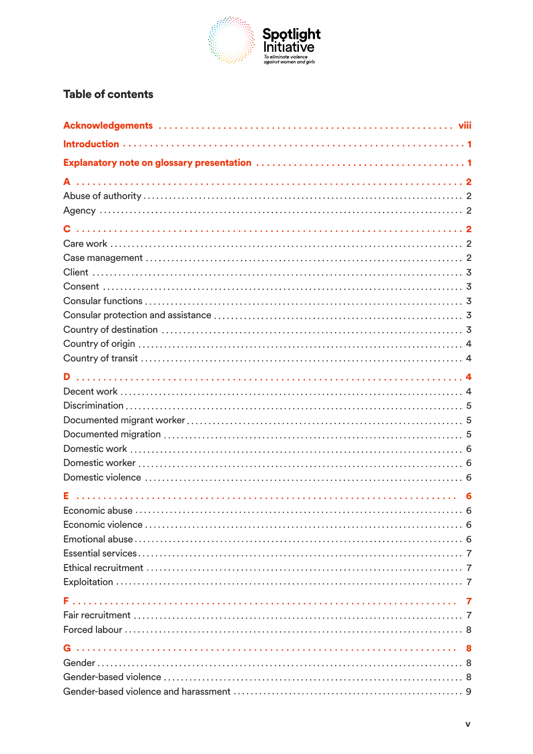

#### Table of contents

| Е |  |
|---|--|
|   |  |
|   |  |
|   |  |
|   |  |
|   |  |
|   |  |
|   |  |
|   |  |
|   |  |
|   |  |
|   |  |
|   |  |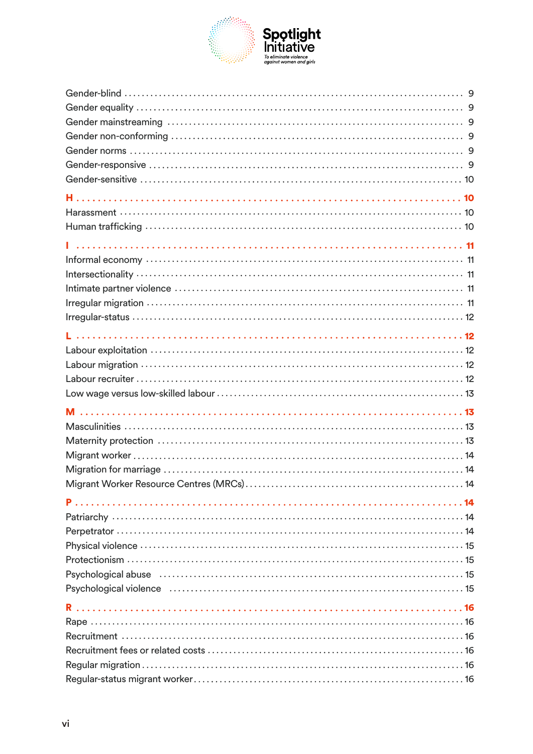

| Psychological abuse (all according to the control of the control of the control of the control of the control of the control of the control of the control of the control of the control of the control of the control of the |
|-------------------------------------------------------------------------------------------------------------------------------------------------------------------------------------------------------------------------------|
|                                                                                                                                                                                                                               |
|                                                                                                                                                                                                                               |
|                                                                                                                                                                                                                               |
|                                                                                                                                                                                                                               |
|                                                                                                                                                                                                                               |
|                                                                                                                                                                                                                               |
|                                                                                                                                                                                                                               |
|                                                                                                                                                                                                                               |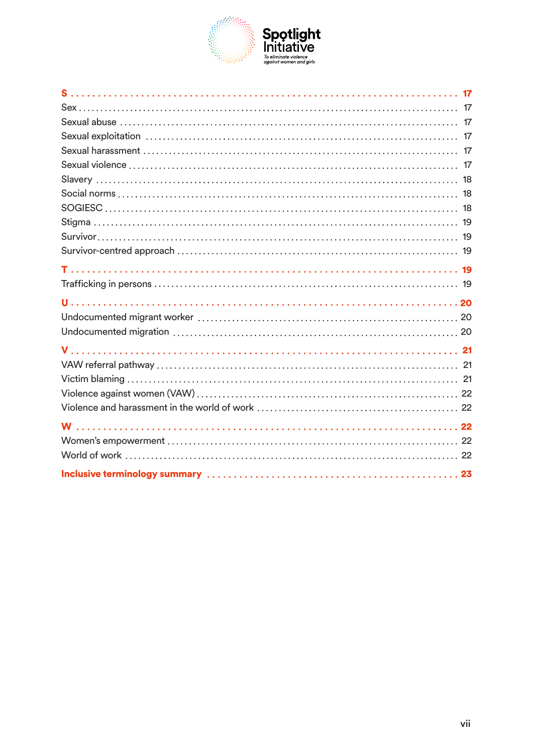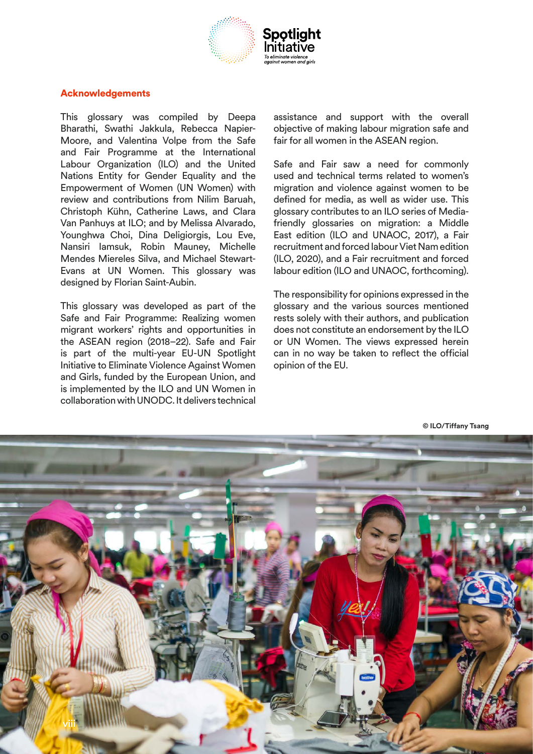

#### <span id="page-7-0"></span>Acknowledgements

This glossary was compiled by Deepa Bharathi, Swathi Jakkula, Rebecca Napier-Moore, and Valentina Volpe from the Safe and Fair Programme at the International Labour Organization (ILO) and the United Nations Entity for Gender Equality and the Empowerment of Women (UN Women) with review and contributions from Nilim Baruah, Christoph Kühn, Catherine Laws, and Clara Van Panhuys at ILO; and by Melissa Alvarado, Younghwa Choi, Dina Deligiorgis, Lou Eve, Nansiri Iamsuk, Robin Mauney, Michelle Mendes Miereles Silva, and Michael Stewart-Evans at UN Women. This glossary was designed by Florian Saint-Aubin.

This glossary was developed as part of the Safe and Fair Programme: Realizing women migrant workers' rights and opportunities in the ASEAN region (2018–22). Safe and Fair is part of the multi-year EU-UN Spotlight Initiative to Eliminate Violence Against Women and Girls, funded by the European Union, and is implemented by the ILO and UN Women in collaboration with UNODC. It delivers technical

assistance and support with the overall objective of making labour migration safe and fair for all women in the ASEAN region.

Safe and Fair saw a need for commonly used and technical terms related to women's migration and violence against women to be defined for media, as well as wider use. This glossary contributes to an ILO series of Mediafriendly glossaries on migration: a Middle East edition (ILO and UNAOC, 2017), a Fair recruitment and forced labour Viet Nam edition (ILO, 2020), and a Fair recruitment and forced labour edition (ILO and UNAOC, forthcoming).

The responsibility for opinions expressed in the glossary and the various sources mentioned rests solely with their authors, and publication does not constitute an endorsement by the ILO or UN Women. The views expressed herein can in no way be taken to reflect the official opinion of the EU.



**© ILO/Tiffany Tsang**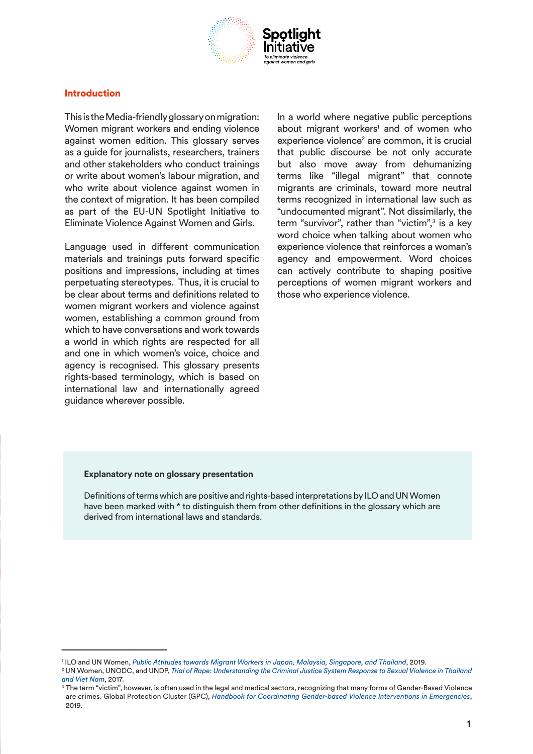

#### <span id="page-8-0"></span>Introduction

This is the Media-friendly glossary on migration: Women migrant workers and ending violence against women edition. This glossary serves as a guide for journalists, researchers, trainers and other stakeholders who conduct trainings or write about women's labour migration, and who write about violence against women in the context of migration. It has been compiled as part of the EU-UN Spotlight Initiative to Eliminate Violence Against Women and Girls.

Language used in different communication materials and trainings puts forward specific positions and impressions, including at times perpetuating stereotypes. Thus, it is crucial to be clear about terms and definitions related to women migrant workers and violence against women, establishing a common ground from which to have conversations and work towards a world in which rights are respected for all and one in which women's voice, choice and agency is recognised. This glossary presents rights-based terminology, which is based on international law and internationally agreed guidance wherever possible.

In a world where negative public perceptions about migrant workers<sup>1</sup> and of women who experience violence<sup>2</sup> are common, it is crucial that public discourse be not only accurate but also move away from dehumanizing terms like "illegal migrant" that connote migrants are criminals, toward more neutral terms recognized in international law such as "undocumented migrant". Not dissimilarly, the term "survivor", rather than "victim",<sup>3</sup> is a key word choice when talking about women who experience violence that reinforces a woman's agency and empowerment. Word choices can actively contribute to shaping positive perceptions of women migrant workers and those who experience violence.

#### **Explanatory note on glossary presentation**

Definitions of terms which are positive and rights-based interpretations by ILO and UN Women have been marked with \* to distinguish them from other definitions in the glossary which are derived from international laws and standards.

<sup>1</sup> ILO and UN Women, *[Public Attitudes towards Migrant Workers in Japan, Malaysia, Singapore, and Thailand](https://asiapacific.unwomen.org/en/digital-library/publications/2020/01/public-attitudes-towards-migrant-workers)*, 2019.

<sup>2</sup> UN Women, UNODC, and UNDP, *[Trial of Rape: Understanding the Criminal Justice System Response to Sexual Violence in Thailand](https://asiapacific.unwomen.org/en/digital-library/publications/2017/09/the-trial-of-rape) [and Viet Nam](https://asiapacific.unwomen.org/en/digital-library/publications/2017/09/the-trial-of-rape)*, 2017.

<sup>&</sup>lt;sup>3</sup> The term "victim", however, is often used in the legal and medical sectors, recognizing that many forms of Gender-Based Violence are crimes. Global Protection Cluster (GPC), *[Handbook for Coordinating Gender-based Violence Interventions in Emergencies](https://gbvaor.net/sites/default/files/2019-07/Handbook for Coordinating GBV in Emergencies_fin.pdf)*, 2019.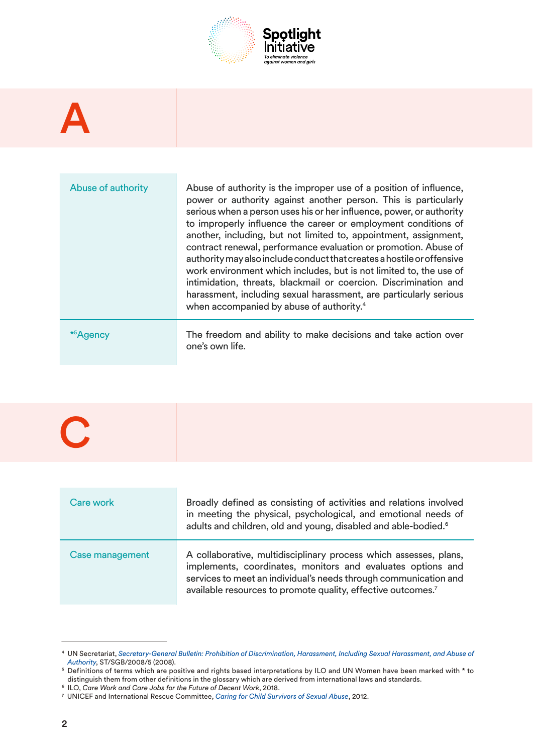

## <span id="page-9-0"></span>A

| Abuse of authority | Abuse of authority is the improper use of a position of influence,<br>power or authority against another person. This is particularly<br>serious when a person uses his or her influence, power, or authority<br>to improperly influence the career or employment conditions of<br>another, including, but not limited to, appointment, assignment,<br>contract renewal, performance evaluation or promotion. Abuse of<br>authority may also include conduct that creates a hostile or offensive<br>work environment which includes, but is not limited to, the use of<br>intimidation, threats, blackmail or coercion. Discrimination and<br>harassment, including sexual harassment, are particularly serious<br>when accompanied by abuse of authority. <sup>4</sup> |
|--------------------|-------------------------------------------------------------------------------------------------------------------------------------------------------------------------------------------------------------------------------------------------------------------------------------------------------------------------------------------------------------------------------------------------------------------------------------------------------------------------------------------------------------------------------------------------------------------------------------------------------------------------------------------------------------------------------------------------------------------------------------------------------------------------|
| <b>*5Agency</b>    | The freedom and ability to make decisions and take action over<br>one's own life.                                                                                                                                                                                                                                                                                                                                                                                                                                                                                                                                                                                                                                                                                       |

| Care work       | Broadly defined as consisting of activities and relations involved<br>in meeting the physical, psychological, and emotional needs of<br>adults and children, old and young, disabled and able-bodied. <sup>6</sup>                                                   |
|-----------------|----------------------------------------------------------------------------------------------------------------------------------------------------------------------------------------------------------------------------------------------------------------------|
| Case management | A collaborative, multidisciplinary process which assesses, plans,<br>implements, coordinates, monitors and evaluates options and<br>services to meet an individual's needs through communication and<br>available resources to promote quality, effective outcomes.7 |

<sup>4</sup> UN Secretariat, *[Secretary-General Bulletin: Prohibition of Discrimination, Harassment, Including Sexual Harassment, and Abuse of](https://conduct.unmissions.org/sites/default/files/keydoc12.pdf)  Authority*, ST/SGB/2008/5 (2008).

Definitions of terms which are positive and rights based interpretations by ILO and UN Women have been marked with \* to distinguish them from other definitions in the glossary which are derived from international laws and standards.

<sup>6</sup> ILO, *Care Work and Care Jobs for the Future of Decent Work*, 2018.

<sup>7</sup> UNICEF and International Rescue Committee, *[Caring for Child Survivors of Sexual Abuse](https://resourcecentre.savethechildren.net/library/caring-child-survivors-sexual-abuse-guidelines-health-and-psychosocial-service-providers)*, 2012.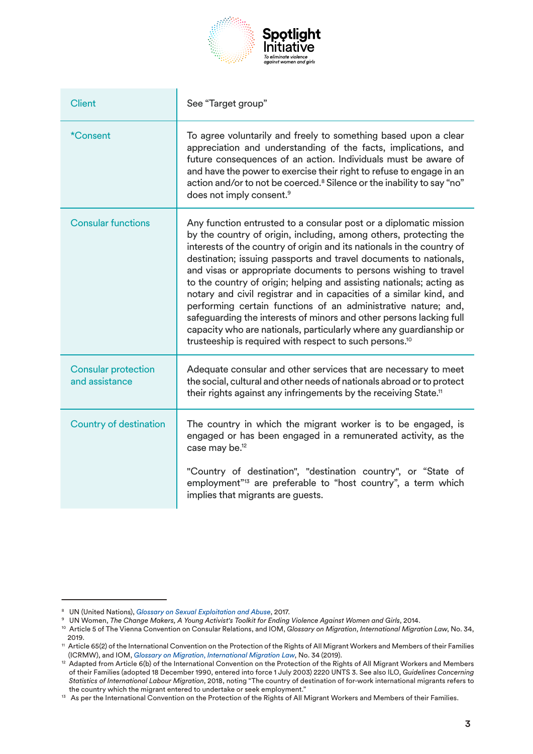

<span id="page-10-0"></span>

| <b>Client</b>                                | See "Target group"                                                                                                                                                                                                                                                                                                                                                                                                                                                                                                                                                                                                                                                                                                                                                                            |
|----------------------------------------------|-----------------------------------------------------------------------------------------------------------------------------------------------------------------------------------------------------------------------------------------------------------------------------------------------------------------------------------------------------------------------------------------------------------------------------------------------------------------------------------------------------------------------------------------------------------------------------------------------------------------------------------------------------------------------------------------------------------------------------------------------------------------------------------------------|
| *Consent                                     | To agree voluntarily and freely to something based upon a clear<br>appreciation and understanding of the facts, implications, and<br>future consequences of an action. Individuals must be aware of<br>and have the power to exercise their right to refuse to engage in an<br>action and/or to not be coerced. <sup>8</sup> Silence or the inability to say "no"<br>does not imply consent. <sup>9</sup>                                                                                                                                                                                                                                                                                                                                                                                     |
| <b>Consular functions</b>                    | Any function entrusted to a consular post or a diplomatic mission<br>by the country of origin, including, among others, protecting the<br>interests of the country of origin and its nationals in the country of<br>destination; issuing passports and travel documents to nationals,<br>and visas or appropriate documents to persons wishing to travel<br>to the country of origin; helping and assisting nationals; acting as<br>notary and civil registrar and in capacities of a similar kind, and<br>performing certain functions of an administrative nature; and,<br>safeguarding the interests of minors and other persons lacking full<br>capacity who are nationals, particularly where any guardianship or<br>trusteeship is required with respect to such persons. <sup>10</sup> |
| <b>Consular protection</b><br>and assistance | Adequate consular and other services that are necessary to meet<br>the social, cultural and other needs of nationals abroad or to protect<br>their rights against any infringements by the receiving State. <sup>11</sup>                                                                                                                                                                                                                                                                                                                                                                                                                                                                                                                                                                     |
| <b>Country of destination</b>                | The country in which the migrant worker is to be engaged, is<br>engaged or has been engaged in a remunerated activity, as the<br>case may be. <sup>12</sup>                                                                                                                                                                                                                                                                                                                                                                                                                                                                                                                                                                                                                                   |
|                                              | "Country of destination", "destination country", or "State of<br>employment" <sup>13</sup> are preferable to "host country", a term which<br>implies that migrants are guests.                                                                                                                                                                                                                                                                                                                                                                                                                                                                                                                                                                                                                |

<sup>8</sup> UN (United Nations), *[Glossary on Sexual Exploitation and Abuse](https://hr.un.org/sites/hr.un.org/files/SEA Glossary  %5BSecond Edition - 2017%5D - English_0.pdf)*, 2017.

<sup>9</sup> UN Women, *The Change Makers, A Young Activist's Toolkit for Ending Violence Against Women and Girls*, 2014.

<sup>10</sup> Article 5 of The Vienna Convention on Consular Relations, and IOM, *[Glossary on Migration](https://publications.iom.int/system/files/pdf/iml_34_glossary.pdf)*, *International Migration Law*, No. 34, 2019.

<sup>11</sup> Article 65(2) of the International Convention on the Protection of the Rights of All Migrant Workers and Members of their Families (ICRMW), and IOM, *[Glossary on Migration](https://publications.iom.int/system/files/pdf/iml_34_glossary.pdf)*, *International Migration Law*, No. 34 (2019).

<sup>&</sup>lt;sup>12</sup> Adapted from Article 6(b) of the International Convention on the Protection of the Rights of All Migrant Workers and Members of their Families (adopted 18 December 1990, entered into force 1 July 2003) 2220 UNTS 3. See also ILO, *Guidelines Concerning Statistics of International Labour Migration*, 2018, noting "The country of destination of for-work international migrants refers to the country which the migrant entered to undertake or seek employment."

<sup>13</sup> As per the International Convention on the Protection of the Rights of All Migrant Workers and Members of their Families.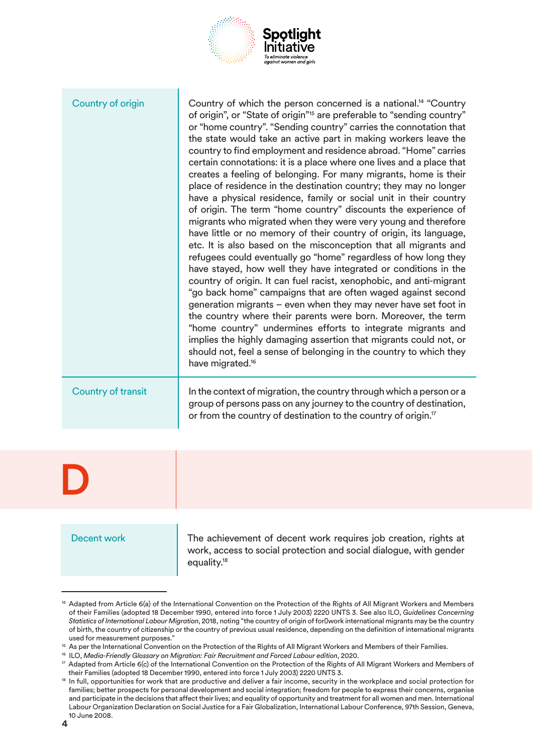

<span id="page-11-0"></span>

| <b>Country of transit</b><br>In the context of migration, the country through which a person or a<br>group of persons pass on any journey to the country of destination,<br>or from the country of destination to the country of origin. <sup>17</sup> | Country of origin | Country of which the person concerned is a national. <sup>14</sup> "Country"<br>of origin", or "State of origin" <sup>15</sup> are preferable to "sending country"<br>or "home country". "Sending country" carries the connotation that<br>the state would take an active part in making workers leave the<br>country to find employment and residence abroad. "Home" carries<br>certain connotations: it is a place where one lives and a place that<br>creates a feeling of belonging. For many migrants, home is their<br>place of residence in the destination country; they may no longer<br>have a physical residence, family or social unit in their country<br>of origin. The term "home country" discounts the experience of<br>migrants who migrated when they were very young and therefore<br>have little or no memory of their country of origin, its language,<br>etc. It is also based on the misconception that all migrants and<br>refugees could eventually go "home" regardless of how long they<br>have stayed, how well they have integrated or conditions in the<br>country of origin. It can fuel racist, xenophobic, and anti-migrant<br>"go back home" campaigns that are often waged against second<br>generation migrants - even when they may never have set foot in<br>the country where their parents were born. Moreover, the term<br>"home country" undermines efforts to integrate migrants and<br>implies the highly damaging assertion that migrants could not, or<br>should not, feel a sense of belonging in the country to which they<br>have migrated. <sup>16</sup> |
|--------------------------------------------------------------------------------------------------------------------------------------------------------------------------------------------------------------------------------------------------------|-------------------|-------------------------------------------------------------------------------------------------------------------------------------------------------------------------------------------------------------------------------------------------------------------------------------------------------------------------------------------------------------------------------------------------------------------------------------------------------------------------------------------------------------------------------------------------------------------------------------------------------------------------------------------------------------------------------------------------------------------------------------------------------------------------------------------------------------------------------------------------------------------------------------------------------------------------------------------------------------------------------------------------------------------------------------------------------------------------------------------------------------------------------------------------------------------------------------------------------------------------------------------------------------------------------------------------------------------------------------------------------------------------------------------------------------------------------------------------------------------------------------------------------------------------------------------------------------------------------------------------------------|
|                                                                                                                                                                                                                                                        |                   |                                                                                                                                                                                                                                                                                                                                                                                                                                                                                                                                                                                                                                                                                                                                                                                                                                                                                                                                                                                                                                                                                                                                                                                                                                                                                                                                                                                                                                                                                                                                                                                                             |

D

Decent work The achievement of decent work requires job creation, rights at work, access to social protection and social dialogue, with gender equality.<sup>18</sup>

<sup>&</sup>lt;sup>14</sup> Adapted from Article 6(a) of the International Convention on the Protection of the Rights of All Migrant Workers and Members of their Families (adopted 18 December 1990, entered into force 1 July 2003) 2220 UNTS 3. See also ILO, *Guidelines Concerning Statistics of International Labour Migration*, 2018, noting "the country of origin of for work international migrants may be the country of birth, the country of citizenship or the country of previous usual residence, depending on the definition of international migrants used for measurement purposes."

<sup>&</sup>lt;sup>15</sup> As per the International Convention on the Protection of the Rights of All Migrant Workers and Members of their Families.

<sup>&</sup>lt;sup>16</sup> ILO, Media-Friendly Glossary on Migration: Fair Recruitment and Forced Labour edition, 2020.

<sup>&</sup>lt;sup>17</sup> Adapted from Article 6(c) of the International Convention on the Protection of the Rights of All Migrant Workers and Members of their Families (adopted 18 December 1990, entered into force 1 July 2003) 2220 UNTS 3.

<sup>&</sup>lt;sup>18</sup> In full, opportunities for work that are productive and deliver a fair income, security in the workplace and social protection for families; better prospects for personal development and social integration; freedom for people to express their concerns, organise and participate in the decisions that affect their lives; and equality of opportunity and treatment for all women and men. International Labour Organization Declaration on Social Justice for a Fair Globalization, International Labour Conference, 97th Session, Geneva, 10 June 2008.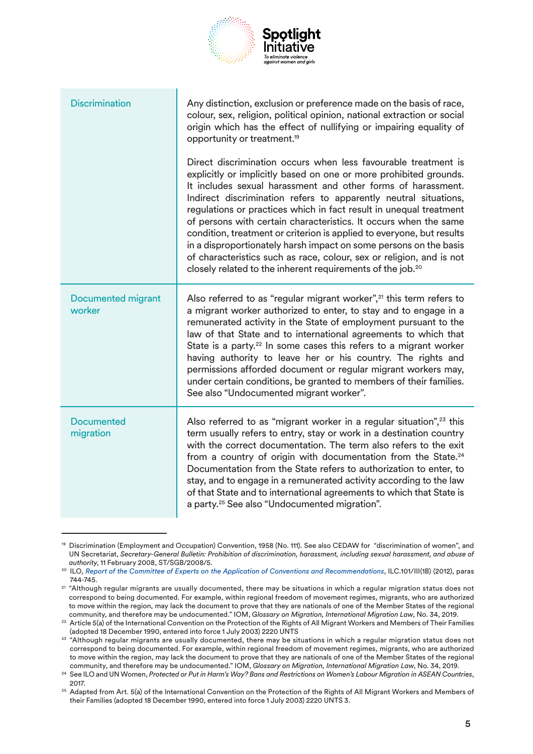

<span id="page-12-0"></span>

| <b>Discrimination</b>               | Any distinction, exclusion or preference made on the basis of race,<br>colour, sex, religion, political opinion, national extraction or social<br>origin which has the effect of nullifying or impairing equality of<br>opportunity or treatment. <sup>19</sup>                                                                                                                                                                                                                                                                                                                                                                                                                                                   |
|-------------------------------------|-------------------------------------------------------------------------------------------------------------------------------------------------------------------------------------------------------------------------------------------------------------------------------------------------------------------------------------------------------------------------------------------------------------------------------------------------------------------------------------------------------------------------------------------------------------------------------------------------------------------------------------------------------------------------------------------------------------------|
|                                     | Direct discrimination occurs when less favourable treatment is<br>explicitly or implicitly based on one or more prohibited grounds.<br>It includes sexual harassment and other forms of harassment.<br>Indirect discrimination refers to apparently neutral situations,<br>regulations or practices which in fact result in unequal treatment<br>of persons with certain characteristics. It occurs when the same<br>condition, treatment or criterion is applied to everyone, but results<br>in a disproportionately harsh impact on some persons on the basis<br>of characteristics such as race, colour, sex or religion, and is not<br>closely related to the inherent requirements of the job. <sup>20</sup> |
| <b>Documented migrant</b><br>worker | Also referred to as "regular migrant worker", <sup>21</sup> this term refers to<br>a migrant worker authorized to enter, to stay and to engage in a<br>remunerated activity in the State of employment pursuant to the<br>law of that State and to international agreements to which that<br>State is a party. <sup>22</sup> In some cases this refers to a migrant worker<br>having authority to leave her or his country. The rights and<br>permissions afforded document or regular migrant workers may,<br>under certain conditions, be granted to members of their families.<br>See also "Undocumented migrant worker".                                                                                      |
| <b>Documented</b><br>migration      | Also referred to as "migrant worker in a regular situation", <sup>23</sup> this<br>term usually refers to entry, stay or work in a destination country<br>with the correct documentation. The term also refers to the exit<br>from a country of origin with documentation from the State. <sup>24</sup><br>Documentation from the State refers to authorization to enter, to<br>stay, and to engage in a remunerated activity according to the law<br>of that State and to international agreements to which that State is<br>a party. <sup>25</sup> See also "Undocumented migration".                                                                                                                           |

<sup>19</sup> Discrimination (Employment and Occupation) Convention, 1958 (No. 111). See also CEDAW for "discrimination of women", and UN Secretariat, *Secretary-General Bulletin: Prohibition of discrimination, harassment, including sexual harassment, and abuse of authority*, 11 February 2008, ST/SGB/2008/5.

<sup>20</sup> ILO, *[Report of the Committee of Experts on the Application of Conventions and Recommendations](https://www.ilo.org/wcmsp5/groups/public/---ed_norm/---relconf/documents/meetingdocument/wcms_174846.pdf)*, ILC.101/III(1B) (2012), paras 744-745.

<sup>21 &</sup>quot;Although regular migrants are usually documented, there may be situations in which a regular migration status does not correspond to being documented. For example, within regional freedom of movement regimes, migrants, who are authorized to move within the region, may lack the document to prove that they are nationals of one of the Member States of the regional community, and therefore may be undocumented." IOM, *Glossary on Migration, International Migration Law*, No. 34, 2019.

<sup>&</sup>lt;sup>22</sup> Article 5(a) of the International Convention on the Protection of the Rights of All Migrant Workers and Members of Their Families (adopted 18 December 1990, entered into force 1 July 2003) 2220 UNTS 23 "Although regular migrants are usually documented, there may be situations in which a regular migration status does not

correspond to being documented. For example, within regional freedom of movement regimes, migrants, who are authorized to move within the region, may lack the document to prove that they are nationals of one of the Member States of the regional community, and therefore may be undocumented." IOM, *Glossary on Migration, International Migration Law*, No. 34, 2019.

<sup>24</sup> See ILO and UN Women, *Protected or Put in Harm's Way? Bans and Restrictions on Women's Labour Migration in ASEAN Countries*, 2017.

<sup>&</sup>lt;sup>25</sup> Adapted from Art. 5(a) of the International Convention on the Protection of the Rights of All Migrant Workers and Members of their Families (adopted 18 December 1990, entered into force 1 July 2003) 2220 UNTS 3.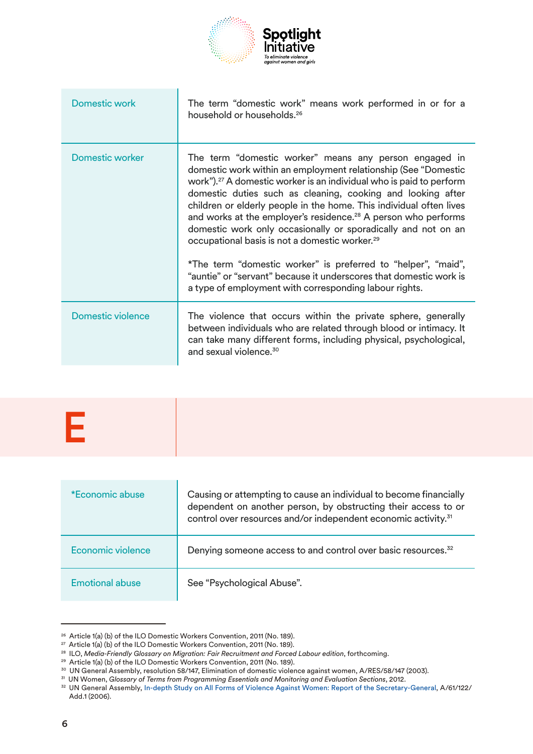

<span id="page-13-0"></span>

| Domestic work     | The term "domestic work" means work performed in or for a<br>household or households. <sup>26</sup>                                                                                                                                                                                                                                                                                                                                                                                                                                                            |
|-------------------|----------------------------------------------------------------------------------------------------------------------------------------------------------------------------------------------------------------------------------------------------------------------------------------------------------------------------------------------------------------------------------------------------------------------------------------------------------------------------------------------------------------------------------------------------------------|
| Domestic worker   | The term "domestic worker" means any person engaged in<br>domestic work within an employment relationship (See "Domestic<br>work"). <sup>27</sup> A domestic worker is an individual who is paid to perform<br>domestic duties such as cleaning, cooking and looking after<br>children or elderly people in the home. This individual often lives<br>and works at the employer's residence. <sup>28</sup> A person who performs<br>domestic work only occasionally or sporadically and not on an<br>occupational basis is not a domestic worker. <sup>29</sup> |
|                   | *The term "domestic worker" is preferred to "helper", "maid",<br>"auntie" or "servant" because it underscores that domestic work is<br>a type of employment with corresponding labour rights.                                                                                                                                                                                                                                                                                                                                                                  |
| Domestic violence | The violence that occurs within the private sphere, generally<br>between individuals who are related through blood or intimacy. It<br>can take many different forms, including physical, psychological,<br>and sexual violence. <sup>30</sup>                                                                                                                                                                                                                                                                                                                  |

| *Economic abuse | Causing or attempting to cause an individual to become financially |
|-----------------|--------------------------------------------------------------------|

| *Economic abuse          | Causing or attempting to cause an individual to become financially<br>dependent on another person, by obstructing their access to or<br>control over resources and/or independent economic activity. <sup>31</sup> |
|--------------------------|--------------------------------------------------------------------------------------------------------------------------------------------------------------------------------------------------------------------|
| <b>Economic violence</b> | Denying someone access to and control over basic resources. <sup>32</sup>                                                                                                                                          |
| <b>Emotional abuse</b>   | See "Psychological Abuse".                                                                                                                                                                                         |

<sup>&</sup>lt;sup>26</sup> Article 1(a) (b) of the ILO Domestic Workers Convention, 2011 (No. 189).

<sup>&</sup>lt;sup>27</sup> Article 1(a) (b) of the ILO Domestic Workers Convention, 2011 (No. 189).

<sup>&</sup>lt;sup>28</sup> ILO, *Media-Friendly Glossary on Migration: Fair Recruitment and Forced Labour edition*, forthcoming.

<sup>&</sup>lt;sup>29</sup> Article 1(a) (b) of the ILO Domestic Workers Convention, 2011 (No. 189).

<sup>&</sup>lt;sup>30</sup> UN General Assembly, resolution 58/147, Elimination of domestic violence against women, A/RES/58/147 (2003).<br><sup>31</sup> UN Women, Glossary of Terms from Programming Essentials and Monitoring and Evaluation Sections, 2012.

<sup>&</sup>lt;sup>32</sup> UN General Assembly, [In-depth Study on All Forms of Violence Against Women: Report of the Secretary-General](https://documents-dds-ny.un.org/doc/UNDOC/GEN/N06/419/74/PDF/N0641974.pdf?OpenElement), A/61/122/ Add.1 (2006).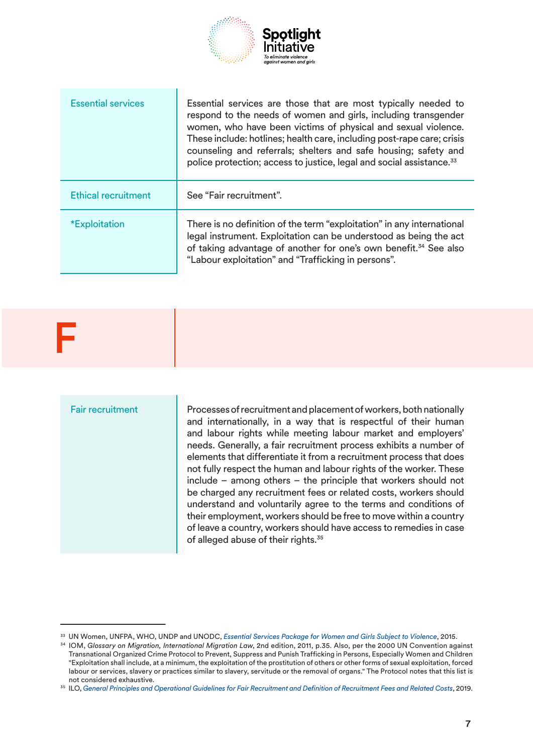

<span id="page-14-0"></span>

| <b>Essential services</b>   | Essential services are those that are most typically needed to<br>respond to the needs of women and girls, including transgender<br>women, who have been victims of physical and sexual violence.<br>These include: hotlines; health care, including post-rape care; crisis<br>counseling and referrals; shelters and safe housing; safety and<br>police protection; access to justice, legal and social assistance. <sup>33</sup> |
|-----------------------------|------------------------------------------------------------------------------------------------------------------------------------------------------------------------------------------------------------------------------------------------------------------------------------------------------------------------------------------------------------------------------------------------------------------------------------|
| <b>Ethical recruitment</b>  | See "Fair recruitment".                                                                                                                                                                                                                                                                                                                                                                                                            |
| <i><b>*Exploitation</b></i> | There is no definition of the term "exploitation" in any international<br>legal instrument. Exploitation can be understood as being the act<br>of taking advantage of another for one's own benefit. <sup>34</sup> See also<br>"Labour exploitation" and "Trafficking in persons".                                                                                                                                                 |

Fair recruitment Processes of recruitment and placement of workers, both nationally and internationally, in a way that is respectful of their human and labour rights while meeting labour market and employers' needs. Generally, a fair recruitment process exhibits a number of elements that differentiate it from a recruitment process that does not fully respect the human and labour rights of the worker. These include – among others – the principle that workers should not be charged any recruitment fees or related costs, workers should understand and voluntarily agree to the terms and conditions of their employment, workers should be free to move within a country of leave a country, workers should have access to remedies in case of alleged abuse of their rights.<sup>35</sup>

<sup>33</sup> UN Women, UNFPA, WHO, UNDP and UNODC, *[Essential Services Package for Women and Girls Subject to Violence](https://www.unwomen.org/en/digital-library/publications/2015/12/essential-services-package-for-women-and-girls-subject-to-violence#:~:text=The%20United%20Nations%20Joint%20Global,who%20have%20experienced%20gender%20based)*, 2015.

<sup>34</sup> IOM, *Glossary on Migration, International Migration Law*, 2nd edition, 2011, p.35. Also, per the 2000 UN Convention against Transnational Organized Crime Protocol to Prevent, Suppress and Punish Trafficking in Persons, Especially Women and Children "Exploitation shall include, at a minimum, the exploitation of the prostitution of others or other forms of sexual exploitation, forced labour or services, slavery or practices similar to slavery, servitude or the removal of organs." The Protocol notes that this list is not considered exhaustive.

<sup>35</sup> ILO, *[General Principles and Operational Guidelines for Fair Recruitment and Definition of Recruitment Fees and Related Costs](https://www.ilo.org/wcmsp5/groups/public/---ed_protect/---protrav/---migrant/documents/publication/wcms_536755.pdf)*, 2019.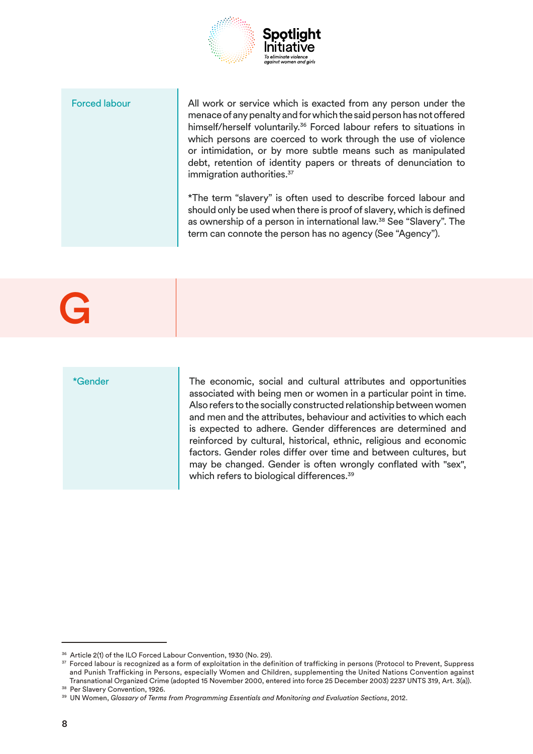

<span id="page-15-0"></span>Forced labour **All work or service which is exacted from any person under the** menace of any penalty and for which the said person has not offered himself/herself voluntarily.<sup>36</sup> Forced labour refers to situations in which persons are coerced to work through the use of violence or intimidation, or by more subtle means such as manipulated debt, retention of identity papers or threats of denunciation to immigration authorities.<sup>37</sup>

> \*The term "slavery" is often used to describe forced labour and should only be used when there is proof of slavery, which is defined as ownership of a person in international law.<sup>38</sup> See "Slavery". The term can connote the person has no agency (See "Agency").

# G

\*Gender The economic, social and cultural attributes and opportunities associated with being men or women in a particular point in time. Also refers to the socially constructed relationship between women and men and the attributes, behaviour and activities to which each is expected to adhere. Gender differences are determined and reinforced by cultural, historical, ethnic, religious and economic factors. Gender roles differ over time and between cultures, but may be changed. Gender is often wrongly conflated with "sex", which refers to biological differences.<sup>39</sup>

<sup>36</sup> Article 2(1) of the ILO Forced Labour Convention, 1930 (No. 29).

<sup>37</sup> Forced labour is recognized as a form of exploitation in the definition of trafficking in persons (Protocol to Prevent, Suppress and Punish Trafficking in Persons, especially Women and Children, supplementing the United Nations Convention against Transnational Organized Crime (adopted 15 November 2000, entered into force 25 December 2003) 2237 UNTS 319, Art. 3(a)). <sup>38</sup> Per Slavery Convention, 1926.

<sup>39</sup> UN Women, *Glossary of Terms from Programming Essentials and Monitoring and Evaluation Sections*, 2012.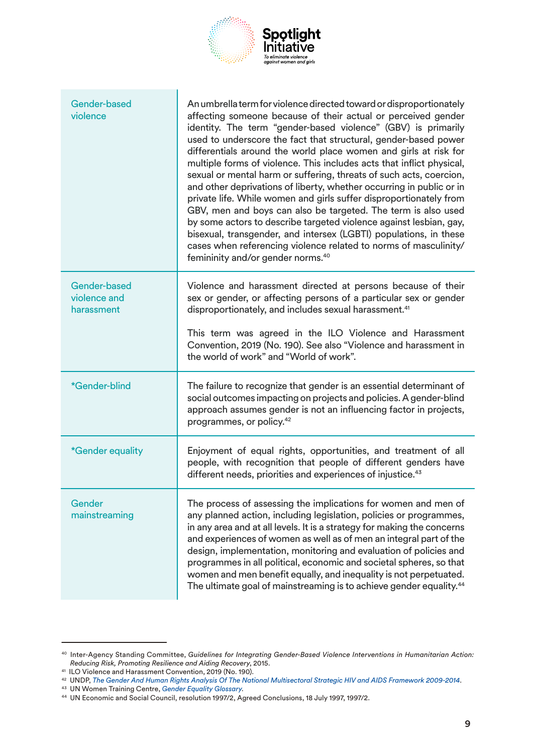

<span id="page-16-0"></span>

| Gender-based<br>violence                   | An umbrella term for violence directed toward or disproportionately<br>affecting someone because of their actual or perceived gender<br>identity. The term "gender-based violence" (GBV) is primarily<br>used to underscore the fact that structural, gender-based power<br>differentials around the world place women and girls at risk for<br>multiple forms of violence. This includes acts that inflict physical,<br>sexual or mental harm or suffering, threats of such acts, coercion,<br>and other deprivations of liberty, whether occurring in public or in<br>private life. While women and girls suffer disproportionately from<br>GBV, men and boys can also be targeted. The term is also used<br>by some actors to describe targeted violence against lesbian, gay,<br>bisexual, transgender, and intersex (LGBTI) populations, in these<br>cases when referencing violence related to norms of masculinity/<br>femininity and/or gender norms. <sup>40</sup> |
|--------------------------------------------|-----------------------------------------------------------------------------------------------------------------------------------------------------------------------------------------------------------------------------------------------------------------------------------------------------------------------------------------------------------------------------------------------------------------------------------------------------------------------------------------------------------------------------------------------------------------------------------------------------------------------------------------------------------------------------------------------------------------------------------------------------------------------------------------------------------------------------------------------------------------------------------------------------------------------------------------------------------------------------|
| Gender-based<br>violence and<br>harassment | Violence and harassment directed at persons because of their<br>sex or gender, or affecting persons of a particular sex or gender<br>disproportionately, and includes sexual harassment. <sup>41</sup>                                                                                                                                                                                                                                                                                                                                                                                                                                                                                                                                                                                                                                                                                                                                                                      |
|                                            | This term was agreed in the ILO Violence and Harassment<br>Convention, 2019 (No. 190). See also "Violence and harassment in<br>the world of work" and "World of work".                                                                                                                                                                                                                                                                                                                                                                                                                                                                                                                                                                                                                                                                                                                                                                                                      |
| *Gender-blind                              | The failure to recognize that gender is an essential determinant of<br>social outcomes impacting on projects and policies. A gender-blind<br>approach assumes gender is not an influencing factor in projects,<br>programmes, or policy. <sup>42</sup>                                                                                                                                                                                                                                                                                                                                                                                                                                                                                                                                                                                                                                                                                                                      |
| *Gender equality                           | Enjoyment of equal rights, opportunities, and treatment of all<br>people, with recognition that people of different genders have<br>different needs, priorities and experiences of injustice. <sup>43</sup>                                                                                                                                                                                                                                                                                                                                                                                                                                                                                                                                                                                                                                                                                                                                                                 |
| Gender<br>mainstreaming                    | The process of assessing the implications for women and men of<br>any planned action, including legislation, policies or programmes,<br>in any area and at all levels. It is a strategy for making the concerns<br>and experiences of women as well as of men an integral part of the<br>design, implementation, monitoring and evaluation of policies and<br>programmes in all political, economic and societal spheres, so that<br>women and men benefit equally, and inequality is not perpetuated.<br>The ultimate goal of mainstreaming is to achieve gender equality. <sup>44</sup>                                                                                                                                                                                                                                                                                                                                                                                   |

<sup>40</sup> Inter-Agency Standing Committee, *Guidelines for Integrating Gender-Based Violence Interventions in Humanitarian Action: Reducing Risk, Promoting Resilience and Aiding Recovery*, 2015. 41 ILO Violence and Harassment Convention, 2019 (No. 190).

<sup>42</sup> UNDP, *[The Gender And Human Rights Analysis Of The National Multisectoral Strategic HIV and AIDS Framework 2009-2014](http://www.undp.org/content/dam/swaziland/docs/publications/UNDP_SZ_HIV_AIDS_National_Multisectoral_Strategic_Hiv_and_Aids_Framework.pdf)*.

<sup>43</sup> UN Women Training Centre, *[Gender Equality Glossary](https://trainingcentre.unwomen.org/mod/glossary/view.php?id=36&lang=en)*.

<sup>44</sup> UN Economic and Social Council, resolution 1997/2, Agreed Conclusions, 18 July 1997, 1997/2.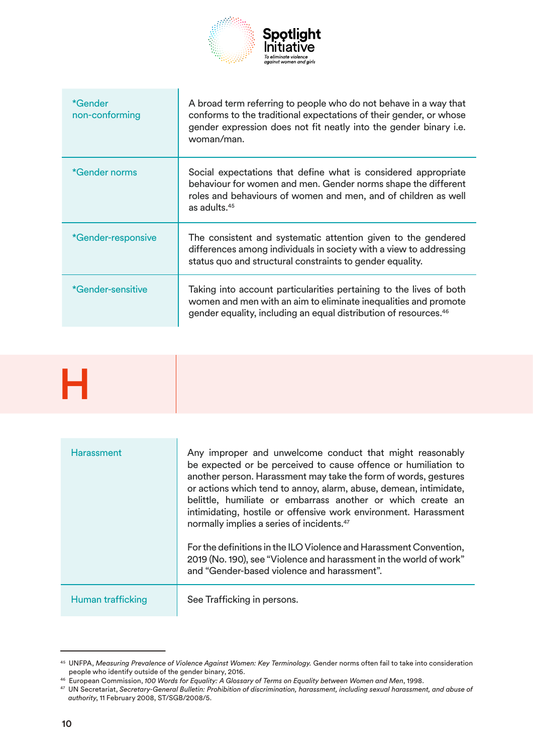

<span id="page-17-0"></span>

| <i>*</i> Gender<br>non-conforming | A broad term referring to people who do not behave in a way that<br>conforms to the traditional expectations of their gender, or whose<br>gender expression does not fit neatly into the gender binary i.e.<br>woman/man.     |
|-----------------------------------|-------------------------------------------------------------------------------------------------------------------------------------------------------------------------------------------------------------------------------|
| *Gender norms                     | Social expectations that define what is considered appropriate<br>behaviour for women and men. Gender norms shape the different<br>roles and behaviours of women and men, and of children as well<br>as adults. <sup>45</sup> |
| *Gender-responsive                | The consistent and systematic attention given to the gendered<br>differences among individuals in society with a view to addressing<br>status quo and structural constraints to gender equality.                              |
| *Gender-sensitive                 | Taking into account particularities pertaining to the lives of both<br>women and men with an aim to eliminate inequalities and promote<br>gender equality, including an equal distribution of resources. <sup>46</sup>        |

## H

| <b>Harassment</b> | Any improper and unwelcome conduct that might reasonably<br>be expected or be perceived to cause offence or humiliation to<br>another person. Harassment may take the form of words, gestures<br>or actions which tend to annoy, alarm, abuse, demean, intimidate,<br>belittle, humiliate or embarrass another or which create an<br>intimidating, hostile or offensive work environment. Harassment<br>normally implies a series of incidents. <sup>47</sup> |
|-------------------|---------------------------------------------------------------------------------------------------------------------------------------------------------------------------------------------------------------------------------------------------------------------------------------------------------------------------------------------------------------------------------------------------------------------------------------------------------------|
|                   | For the definitions in the ILO Violence and Harassment Convention,<br>2019 (No. 190), see "Violence and harassment in the world of work"<br>and "Gender-based violence and harassment".                                                                                                                                                                                                                                                                       |
| Human trafficking | See Trafficking in persons.                                                                                                                                                                                                                                                                                                                                                                                                                                   |

<sup>&</sup>lt;sup>45</sup> UNFPA, Measuring Prevalence of Violence Against Women: Key Terminology. Gender norms often fail to take into consideration people who identify outside of the gender binary, 2016.

<sup>46</sup> European Commission, *100 Words for Equality: A Glossary of Terms on Equality between Women and Men*, 1998.

<sup>47</sup> UN Secretariat, *Secretary-General Bulletin: Prohibition of discrimination, harassment, including sexual harassment, and abuse of authority*, 11 February 2008, ST/SGB/2008/5.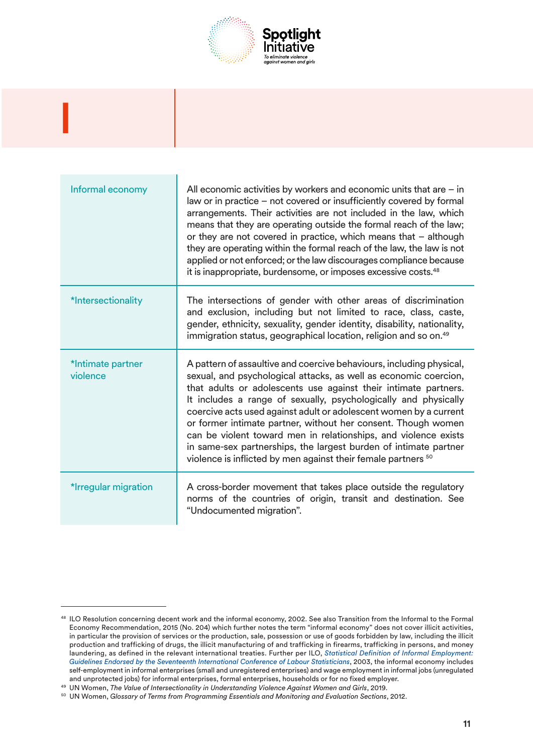

<span id="page-18-0"></span>I

| Informal economy              | All economic activities by workers and economic units that are $-$ in<br>law or in practice - not covered or insufficiently covered by formal<br>arrangements. Their activities are not included in the law, which<br>means that they are operating outside the formal reach of the law;<br>or they are not covered in practice, which means that $-$ although<br>they are operating within the formal reach of the law, the law is not<br>applied or not enforced; or the law discourages compliance because<br>it is inappropriate, burdensome, or imposes excessive costs. <sup>48</sup>                                             |
|-------------------------------|-----------------------------------------------------------------------------------------------------------------------------------------------------------------------------------------------------------------------------------------------------------------------------------------------------------------------------------------------------------------------------------------------------------------------------------------------------------------------------------------------------------------------------------------------------------------------------------------------------------------------------------------|
| *Intersectionality            | The intersections of gender with other areas of discrimination<br>and exclusion, including but not limited to race, class, caste,<br>gender, ethnicity, sexuality, gender identity, disability, nationality,<br>immigration status, geographical location, religion and so on. <sup>49</sup>                                                                                                                                                                                                                                                                                                                                            |
| *Intimate partner<br>violence | A pattern of assaultive and coercive behaviours, including physical,<br>sexual, and psychological attacks, as well as economic coercion,<br>that adults or adolescents use against their intimate partners.<br>It includes a range of sexually, psychologically and physically<br>coercive acts used against adult or adolescent women by a current<br>or former intimate partner, without her consent. Though women<br>can be violent toward men in relationships, and violence exists<br>in same-sex partnerships, the largest burden of intimate partner<br>violence is inflicted by men against their female partners <sup>50</sup> |
| *Irregular migration          | A cross-border movement that takes place outside the regulatory<br>norms of the countries of origin, transit and destination. See<br>"Undocumented migration".                                                                                                                                                                                                                                                                                                                                                                                                                                                                          |

<sup>48</sup> ILO Resolution concerning decent work and the informal economy, 2002. See also Transition from the Informal to the Formal Economy Recommendation, 2015 (No. 204) which further notes the term "informal economy" does not cover illicit activities, in particular the provision of services or the production, sale, possession or use of goods forbidden by law, including the illicit production and trafficking of drugs, the illicit manufacturing of and trafficking in firearms, trafficking in persons, and money laundering, as defined in the relevant international treaties. Further per ILO, *[Statistical Definition of Informal Employment:](https://trainingcentre.unwomen.org/mod/glossary/view.php?id=36&lang=en)  [Guidelines Endorsed by the Seventeenth International Conference of Labour Statisticians](https://trainingcentre.unwomen.org/mod/glossary/view.php?id=36&lang=en)*, 2003, the informal economy includes self-employment in informal enterprises (small and unregistered enterprises) and wage employment in informal jobs (unregulated

and unprotected jobs) for informal enterprises, formal enterprises, households or for no fixed employer.<br><sup>49</sup> UN Women, *The Value of Intersectionality in Understanding Violence Against Women and Girls, 2019.*<br><sup>50</sup> UN Wome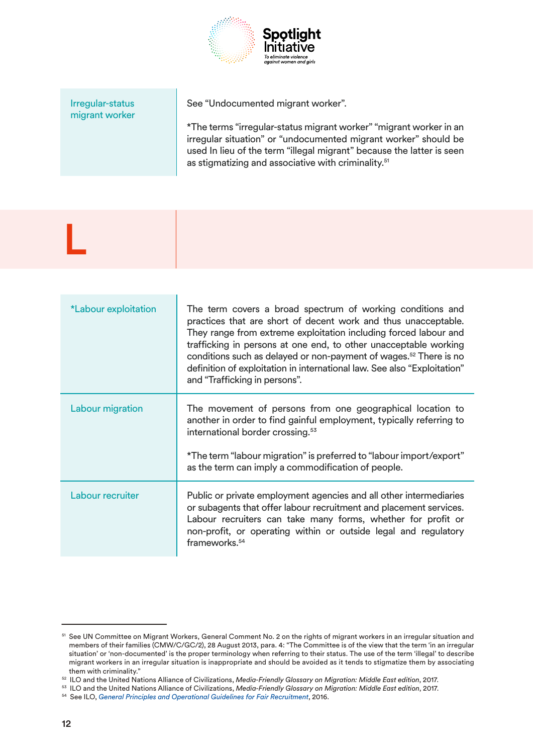

<span id="page-19-0"></span>

| Irregular-status<br>migrant worker | See "Undocumented migrant worker".                                                                                                                                                                                                                                                |
|------------------------------------|-----------------------------------------------------------------------------------------------------------------------------------------------------------------------------------------------------------------------------------------------------------------------------------|
|                                    | *The terms "irregular-status migrant worker" "migrant worker in an<br>irregular situation" or "undocumented migrant worker" should be<br>used In lieu of the term "illegal migrant" because the latter is seen<br>as stigmatizing and associative with criminality. <sup>51</sup> |

| *Labour exploitation | The term covers a broad spectrum of working conditions and<br>practices that are short of decent work and thus unacceptable.<br>They range from extreme exploitation including forced labour and<br>trafficking in persons at one end, to other unacceptable working<br>conditions such as delayed or non-payment of wages. <sup>52</sup> There is no<br>definition of exploitation in international law. See also "Exploitation"<br>and "Trafficking in persons". |
|----------------------|--------------------------------------------------------------------------------------------------------------------------------------------------------------------------------------------------------------------------------------------------------------------------------------------------------------------------------------------------------------------------------------------------------------------------------------------------------------------|
| Labour migration     | The movement of persons from one geographical location to<br>another in order to find gainful employment, typically referring to<br>international border crossing. <sup>53</sup><br>*The term "labour migration" is preferred to "labour import/export"<br>as the term can imply a commodification of people.                                                                                                                                                      |
| Labour recruiter     | Public or private employment agencies and all other intermediaries<br>or subagents that offer labour recruitment and placement services.<br>Labour recruiters can take many forms, whether for profit or<br>non-profit, or operating within or outside legal and regulatory<br>frameworks. <sup>54</sup>                                                                                                                                                           |

L

<sup>51</sup> See UN Committee on Migrant Workers, General Comment No. 2 on the rights of migrant workers in an irregular situation and members of their families (CMW/C/GC/2), 28 August 2013, para. 4: "The Committee is of the view that the term 'in an irregular situation' or 'non-documented' is the proper terminology when referring to their status. The use of the term 'illegal' to describe migrant workers in an irregular situation is inappropriate and should be avoided as it tends to stigmatize them by associating them with criminality."

<sup>52</sup> ILO and the United Nations Alliance of Civilizations, *Media-Friendly Glossary on Migration: Middle East edition*, 2017.

<sup>53</sup> ILO and the United Nations Alliance of Civilizations, *Media-Friendly Glossary on Migration: Middle East edition*, 2017.

<sup>54</sup> See ILO, *[General Principles and Operational Guidelines for Fair Recruitment](https://www.ilo.org/wcmsp5/groups/public/---ed_protect/---protrav/---migrant/documents/publication/wcms_536263.pdf)*, 2016.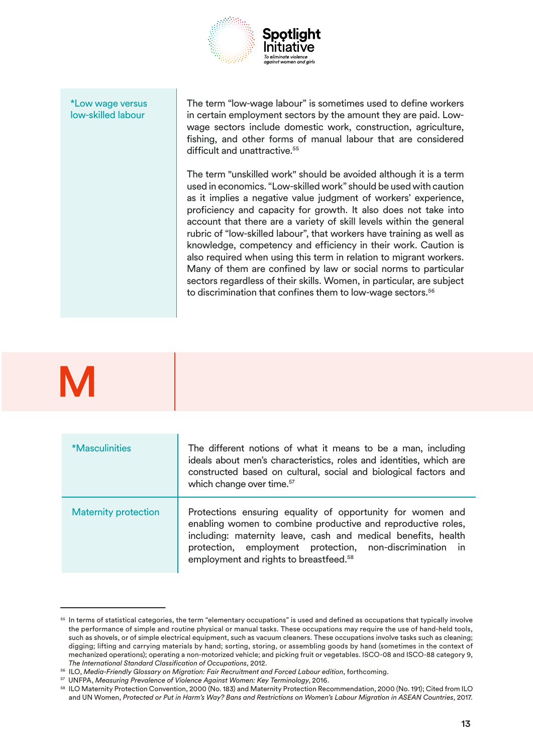

<span id="page-20-0"></span>\*Low wage versus low-skilled labour

The term "low-wage labour" is sometimes used to define workers in certain employment sectors by the amount they are paid. Lowwage sectors include domestic work, construction, agriculture, fishing, and other forms of manual labour that are considered difficult and unattractive.<sup>55</sup>

The term "unskilled work" should be avoided although it is a term used in economics. "Low-skilled work" should be used with caution as it implies a negative value judgment of workers' experience, proficiency and capacity for growth. It also does not take into account that there are a variety of skill levels within the general rubric of "low-skilled labour", that workers have training as well as knowledge, competency and efficiency in their work. Caution is also required when using this term in relation to migrant workers. Many of them are confined by law or social norms to particular sectors regardless of their skills. Women, in particular, are subject to discrimination that confines them to low-wage sectors.<sup>56</sup>

# M

| <b>*Masculinities</b>       | The different notions of what it means to be a man, including<br>ideals about men's characteristics, roles and identities, which are<br>constructed based on cultural, social and biological factors and<br>which change over time. <sup>57</sup>                                                             |
|-----------------------------|---------------------------------------------------------------------------------------------------------------------------------------------------------------------------------------------------------------------------------------------------------------------------------------------------------------|
| <b>Maternity protection</b> | Protections ensuring equality of opportunity for women and<br>enabling women to combine productive and reproductive roles,<br>including: maternity leave, cash and medical benefits, health<br>protection, employment protection, non-discrimination in<br>employment and rights to breastfeed. <sup>58</sup> |

<sup>&</sup>lt;sup>55</sup> In terms of statistical categories, the term "elementary occupations" is used and defined as occupations that typically involve the performance of simple and routine physical or manual tasks. These occupations may require the use of hand-held tools, such as shovels, or of simple electrical equipment, such as vacuum cleaners. These occupations involve tasks such as cleaning; digging; lifting and carrying materials by hand; sorting, storing, or assembling goods by hand (sometimes in the context of mechanized operations); operating a non-motorized vehicle; and picking fruit or vegetables. ISCO-08 and ISCO-88 category 9, *The International Standard Classification of Occupations*, 2012.

<sup>&</sup>lt;sup>56</sup> ILO, Media-Friendly Glossary on Migration: Fair Recruitment and Forced Labour edition, forthcoming.

<sup>57</sup> UNFPA, *Measuring Prevalence of Violence Against Women: Key Terminology*, 2016.

<sup>58</sup> ILO Maternity Protection Convention, 2000 (No. 183) and Maternity Protection Recommendation, 2000 (No. 191); Cited from ILO and UN Women, *Protected or Put in Harm's Way? Bans and Restrictions on Women's Labour Migration in ASEAN Countries*, 2017.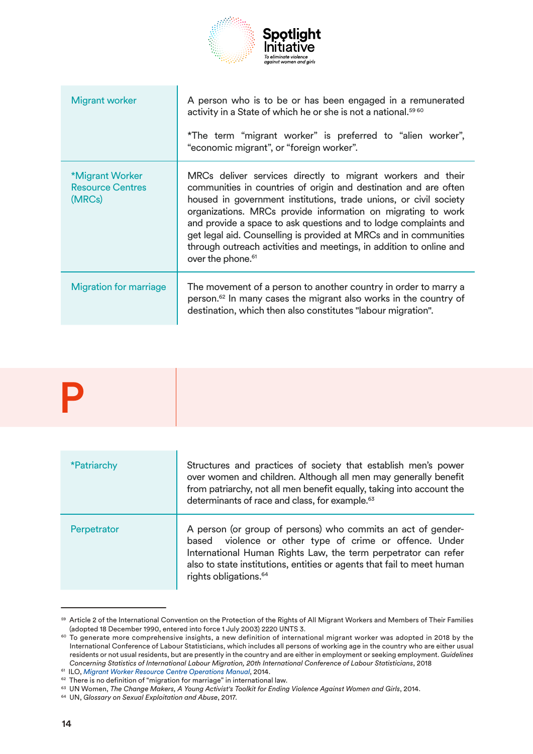

<span id="page-21-0"></span>

| <b>Migrant worker</b>                                | A person who is to be or has been engaged in a remunerated<br>activity in a State of which he or she is not a national. <sup>5960</sup><br>*The term "migrant worker" is preferred to "alien worker",<br>"economic migrant", or "foreign worker".                                                                                                                                                                                                                                                                     |
|------------------------------------------------------|-----------------------------------------------------------------------------------------------------------------------------------------------------------------------------------------------------------------------------------------------------------------------------------------------------------------------------------------------------------------------------------------------------------------------------------------------------------------------------------------------------------------------|
| *Migrant Worker<br><b>Resource Centres</b><br>(MRCs) | MRCs deliver services directly to migrant workers and their<br>communities in countries of origin and destination and are often<br>housed in government institutions, trade unions, or civil society<br>organizations. MRCs provide information on migrating to work<br>and provide a space to ask questions and to lodge complaints and<br>get legal aid. Counselling is provided at MRCs and in communities<br>through outreach activities and meetings, in addition to online and<br>over the phone. <sup>61</sup> |
| <b>Migration for marriage</b>                        | The movement of a person to another country in order to marry a<br>person. <sup>62</sup> In many cases the migrant also works in the country of<br>destination, which then also constitutes "labour migration".                                                                                                                                                                                                                                                                                                       |



| *Patriarchy | Structures and practices of society that establish men's power<br>over women and children. Although all men may generally benefit<br>from patriarchy, not all men benefit equally, taking into account the<br>determinants of race and class, for example. <sup>63</sup>                                 |
|-------------|----------------------------------------------------------------------------------------------------------------------------------------------------------------------------------------------------------------------------------------------------------------------------------------------------------|
| Perpetrator | A person (or group of persons) who commits an act of gender-<br>based violence or other type of crime or offence. Under<br>International Human Rights Law, the term perpetrator can refer<br>also to state institutions, entities or agents that fail to meet human<br>rights obligations. <sup>64</sup> |

<sup>59</sup> Article 2 of the International Convention on the Protection of the Rights of All Migrant Workers and Members of Their Families (adopted 18 December 1990, entered into force 1 July 2003) 2220 UNTS 3.

<sup>&</sup>lt;sup>60</sup> To generate more comprehensive insights, a new definition of international migrant worker was adopted in 2018 by the International Conference of Labour Statisticians, which includes all persons of working age in the country who are either usual residents or not usual residents, but are presently in the country and are either in employment or seeking employment. *Guidelines Concerning Statistics of International Labour Migration, 20th International Conference of Labour Statisticians*, 2018

<sup>&</sup>lt;sup>62</sup> There is no definition of "migration for marriage" in international law.

<sup>63</sup> UN Women, *The Change Makers, A Young Activist's Toolkit for Ending Violence Against Women and Girls*, 2014.

<sup>64</sup> UN, *Glossary on Sexual Exploitation and Abuse*, 2017.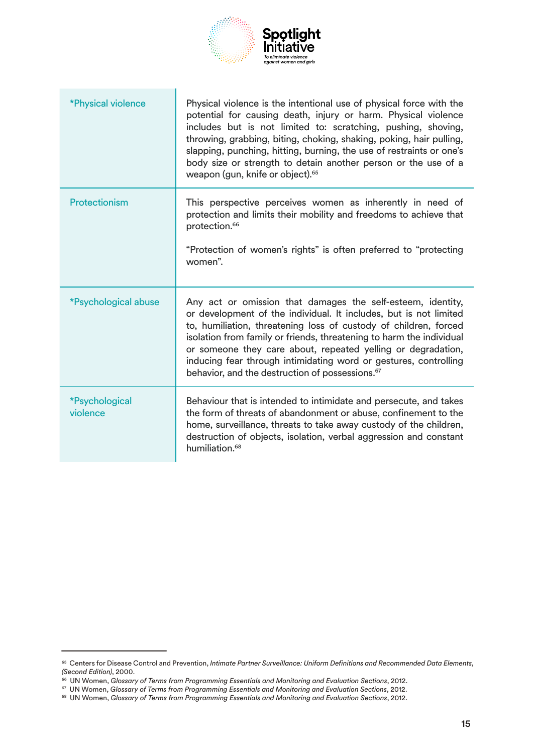

П

<span id="page-22-0"></span>

| *Physical violence         | Physical violence is the intentional use of physical force with the<br>potential for causing death, injury or harm. Physical violence<br>includes but is not limited to: scratching, pushing, shoving,<br>throwing, grabbing, biting, choking, shaking, poking, hair pulling,<br>slapping, punching, hitting, burning, the use of restraints or one's<br>body size or strength to detain another person or the use of a<br>weapon (gun, knife or object). <sup>65</sup>         |
|----------------------------|---------------------------------------------------------------------------------------------------------------------------------------------------------------------------------------------------------------------------------------------------------------------------------------------------------------------------------------------------------------------------------------------------------------------------------------------------------------------------------|
| Protectionism              | This perspective perceives women as inherently in need of<br>protection and limits their mobility and freedoms to achieve that<br>protection. <sup>66</sup><br>"Protection of women's rights" is often preferred to "protecting<br>women".                                                                                                                                                                                                                                      |
| *Psychological abuse       | Any act or omission that damages the self-esteem, identity,<br>or development of the individual. It includes, but is not limited<br>to, humiliation, threatening loss of custody of children, forced<br>isolation from family or friends, threatening to harm the individual<br>or someone they care about, repeated yelling or degradation,<br>inducing fear through intimidating word or gestures, controlling<br>behavior, and the destruction of possessions. <sup>67</sup> |
| *Psychological<br>violence | Behaviour that is intended to intimidate and persecute, and takes<br>the form of threats of abandonment or abuse, confinement to the<br>home, surveillance, threats to take away custody of the children,<br>destruction of objects, isolation, verbal aggression and constant<br>humiliation. <sup>68</sup>                                                                                                                                                                    |

<sup>65</sup> Centers for Disease Control and Prevention, *Intimate Partner Surveillance: Uniform Definitions and Recommended Data Elements, (Second Edition)*, 2000.

<sup>&</sup>lt;sup>66</sup> UN Women, *Glossary of Terms from Programming Essentials and Monitoring and Evaluation Sections, 2012.*<br><sup>67</sup> UN Women, *Glossary of Terms from Programming Essentials and Monitoring and Evaluation Sections, 2012.* 

<sup>&</sup>lt;sup>68</sup> UN Women, *Glossary of Terms from Programming Essentials and Monitoring and Evaluation Sections*, 2012.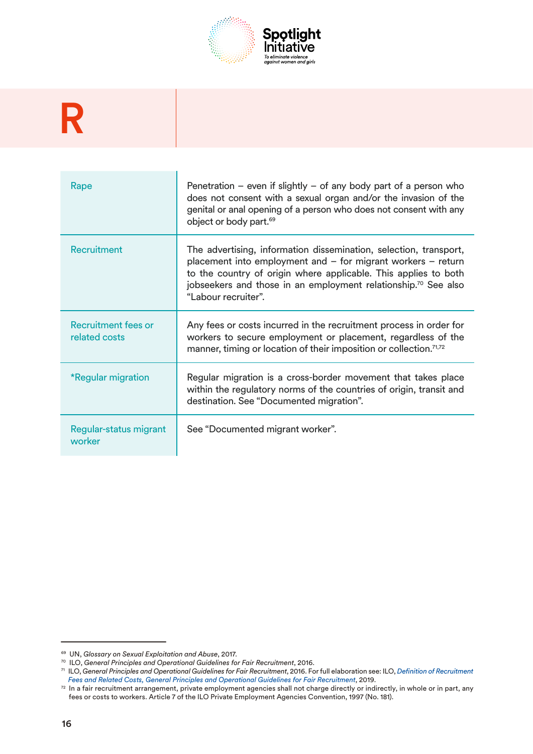

# <span id="page-23-0"></span>R

| Rape                                 | Penetration $-$ even if slightly $-$ of any body part of a person who<br>does not consent with a sexual organ and/or the invasion of the<br>genital or anal opening of a person who does not consent with any<br>object or body part. <sup>69</sup>                                                           |
|--------------------------------------|---------------------------------------------------------------------------------------------------------------------------------------------------------------------------------------------------------------------------------------------------------------------------------------------------------------|
| <b>Recruitment</b>                   | The advertising, information dissemination, selection, transport,<br>placement into employment and $-$ for migrant workers $-$ return<br>to the country of origin where applicable. This applies to both<br>jobseekers and those in an employment relationship. <sup>70</sup> See also<br>"Labour recruiter". |
| Recruitment fees or<br>related costs | Any fees or costs incurred in the recruitment process in order for<br>workers to secure employment or placement, regardless of the<br>manner, timing or location of their imposition or collection. <sup>71,72</sup>                                                                                          |
| *Regular migration                   | Regular migration is a cross-border movement that takes place<br>within the regulatory norms of the countries of origin, transit and<br>destination. See "Documented migration".                                                                                                                              |
| Regular-status migrant<br>worker     | See "Documented migrant worker".                                                                                                                                                                                                                                                                              |

<sup>69</sup> UN, *Glossary on Sexual Exploitation and Abuse*, 2017. 70 ILO, *General Principles and Operational Guidelines for Fair Recruitment*, 2016.

<sup>71</sup> ILO, *General Principles and Operational Guidelines for Fair Recruitment*, 2016. For full elaboration see: ILO, *[Definition of Recruitment](https://www.ilo.org/wcmsp5/groups/public/---ed_protect/---protrav/---migrant/documents/publication/wcms_536755.pdf) [Fees and Related Costs, General Principles and Operational Guidelines for Fair Recruitment](https://www.ilo.org/wcmsp5/groups/public/---ed_protect/---protrav/---migrant/documents/publication/wcms_536755.pdf)*, 2019.

 $72$  In a fair recruitment arrangement, private employment agencies shall not charge directly or indirectly, in whole or in part, any fees or costs to workers. Article 7 of the ILO Private Employment Agencies Convention, 1997 (No. 181).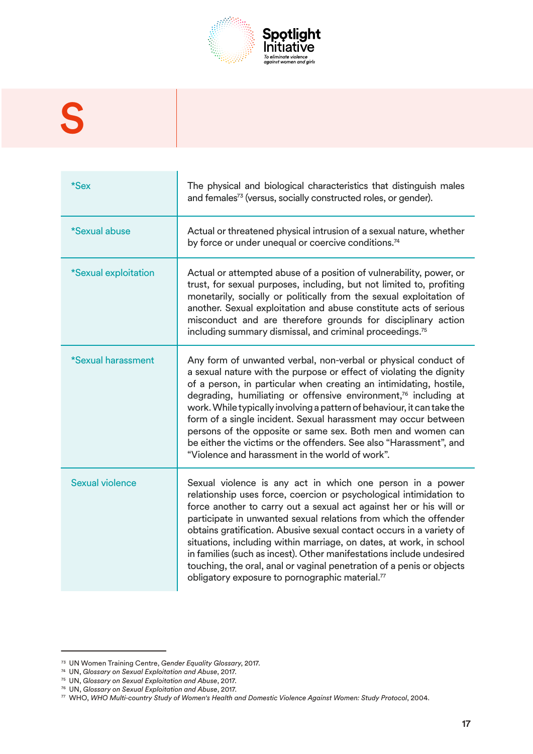

# <span id="page-24-0"></span>S

| *Sex                               | The physical and biological characteristics that distinguish males<br>and females <sup>73</sup> (versus, socially constructed roles, or gender).                                                                                                                                                                                                                                                                                                                                                                                                                                                                                         |
|------------------------------------|------------------------------------------------------------------------------------------------------------------------------------------------------------------------------------------------------------------------------------------------------------------------------------------------------------------------------------------------------------------------------------------------------------------------------------------------------------------------------------------------------------------------------------------------------------------------------------------------------------------------------------------|
| *Sexual abuse                      | Actual or threatened physical intrusion of a sexual nature, whether<br>by force or under unequal or coercive conditions. <sup>74</sup>                                                                                                                                                                                                                                                                                                                                                                                                                                                                                                   |
| <i><b>*Sexual exploitation</b></i> | Actual or attempted abuse of a position of vulnerability, power, or<br>trust, for sexual purposes, including, but not limited to, profiting<br>monetarily, socially or politically from the sexual exploitation of<br>another. Sexual exploitation and abuse constitute acts of serious<br>misconduct and are therefore grounds for disciplinary action<br>including summary dismissal, and criminal proceedings. <sup>75</sup>                                                                                                                                                                                                          |
| *Sexual harassment                 | Any form of unwanted verbal, non-verbal or physical conduct of<br>a sexual nature with the purpose or effect of violating the dignity<br>of a person, in particular when creating an intimidating, hostile,<br>degrading, humiliating or offensive environment, <sup>76</sup> including at<br>work. While typically involving a pattern of behaviour, it can take the<br>form of a single incident. Sexual harassment may occur between<br>persons of the opposite or same sex. Both men and women can<br>be either the victims or the offenders. See also "Harassment", and<br>"Violence and harassment in the world of work".          |
| <b>Sexual violence</b>             | Sexual violence is any act in which one person in a power<br>relationship uses force, coercion or psychological intimidation to<br>force another to carry out a sexual act against her or his will or<br>participate in unwanted sexual relations from which the offender<br>obtains gratification. Abusive sexual contact occurs in a variety of<br>situations, including within marriage, on dates, at work, in school<br>in families (such as incest). Other manifestations include undesired<br>touching, the oral, anal or vaginal penetration of a penis or objects<br>obligatory exposure to pornographic material. <sup>77</sup> |

<sup>73</sup> UN Women Training Centre, *Gender Equality Glossary*, 2017.

<sup>74</sup> UN, *Glossary on Sexual Exploitation and Abuse*, 2017.

<sup>75</sup> UN, *Glossary on Sexual Exploitation and Abuse*, 2017.

<sup>76</sup> UN, *Glossary on Sexual Exploitation and Abuse*, 2017.

<sup>77</sup> WHO, *WHO Multi-country Study of Women's Health and Domestic Violence Against Women: Study Protocol*, 2004.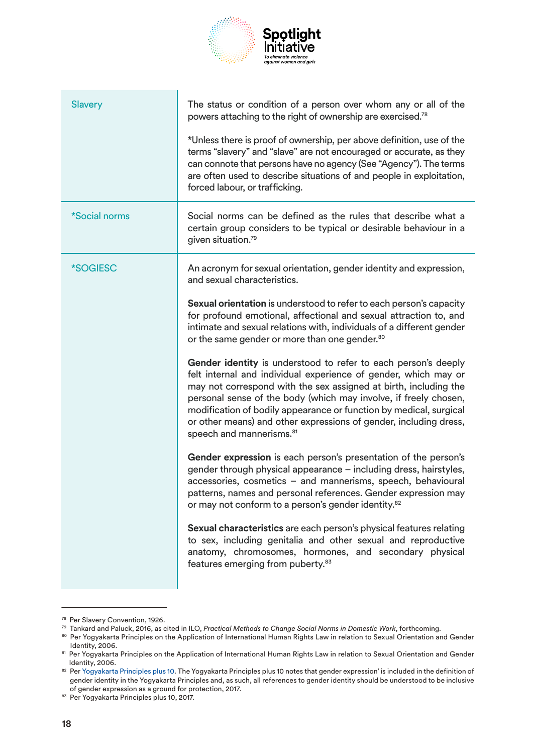

<span id="page-25-0"></span>

| <b>Slavery</b>              | The status or condition of a person over whom any or all of the<br>powers attaching to the right of ownership are exercised. <sup>78</sup>                                                                                                                                                                                                                                                                                                                   |
|-----------------------------|--------------------------------------------------------------------------------------------------------------------------------------------------------------------------------------------------------------------------------------------------------------------------------------------------------------------------------------------------------------------------------------------------------------------------------------------------------------|
|                             | *Unless there is proof of ownership, per above definition, use of the<br>terms "slavery" and "slave" are not encouraged or accurate, as they<br>can connote that persons have no agency (See "Agency"). The terms<br>are often used to describe situations of and people in exploitation,<br>forced labour, or trafficking.                                                                                                                                  |
| <i><b>*Social norms</b></i> | Social norms can be defined as the rules that describe what a<br>certain group considers to be typical or desirable behaviour in a<br>given situation. <sup>79</sup>                                                                                                                                                                                                                                                                                         |
| <i><b>*SOGIESC</b></i>      | An acronym for sexual orientation, gender identity and expression,<br>and sexual characteristics.                                                                                                                                                                                                                                                                                                                                                            |
|                             | Sexual orientation is understood to refer to each person's capacity<br>for profound emotional, affectional and sexual attraction to, and<br>intimate and sexual relations with, individuals of a different gender<br>or the same gender or more than one gender. <sup>80</sup>                                                                                                                                                                               |
|                             | Gender identity is understood to refer to each person's deeply<br>felt internal and individual experience of gender, which may or<br>may not correspond with the sex assigned at birth, including the<br>personal sense of the body (which may involve, if freely chosen,<br>modification of bodily appearance or function by medical, surgical<br>or other means) and other expressions of gender, including dress,<br>speech and mannerisms. <sup>81</sup> |
|                             | Gender expression is each person's presentation of the person's<br>gender through physical appearance - including dress, hairstyles,<br>accessories, cosmetics - and mannerisms, speech, behavioural<br>patterns, names and personal references. Gender expression may<br>or may not conform to a person's gender identity. <sup>82</sup>                                                                                                                    |
|                             | Sexual characteristics are each person's physical features relating<br>to sex, including genitalia and other sexual and reproductive<br>anatomy, chromosomes, hormones, and secondary physical<br>features emerging from puberty. <sup>83</sup>                                                                                                                                                                                                              |

<sup>&</sup>lt;sup>78</sup> Per Slavery Convention, 1926.<br><sup>79</sup> Tankard and Paluck, 2016, as cited in ILO, *Practical Methods to Change Social Norms in Domestic Work*, forthcoming.

<sup>80</sup> Per Yogyakarta Principles on the Application of International Human Rights Law in relation to Sexual Orientation and Gender

Identity, 2006. 81 Per Yogyakarta Principles on the Application of International Human Rights Law in relation to Sexual Orientation and Gender Identity, 2006.

<sup>82</sup> Per [Yogyakarta Principles plus 10.](http://yogyakartaprinciples.org/wp-content/uploads/2017/11/A5_yogyakartaWEB-2.pdf) The Yogyakarta Principles plus 10 notes that gender expression' is included in the definition of gender identity in the Yogyakarta Principles and, as such, all references to gender identity should be understood to be inclusive of gender expression as a ground for protection, 2017.

<sup>83</sup> Per Yogyakarta Principles plus 10, 2017.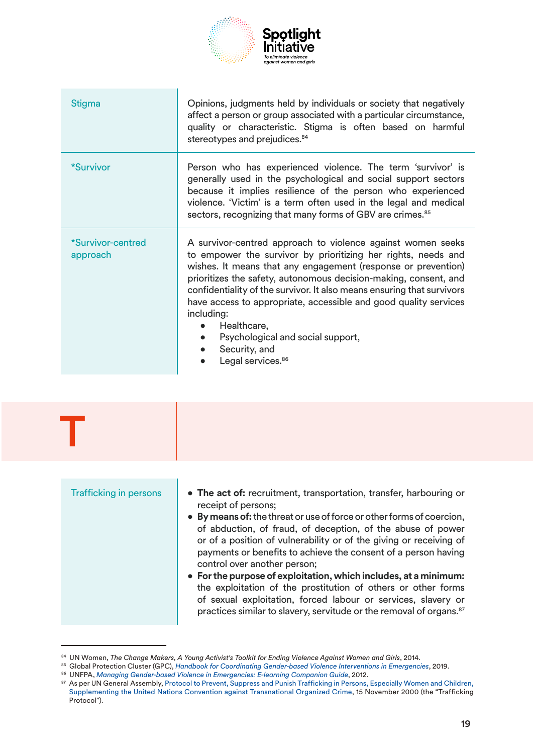

<span id="page-26-0"></span>

| Stigma                        | Opinions, judgments held by individuals or society that negatively<br>affect a person or group associated with a particular circumstance,<br>quality or characteristic. Stigma is often based on harmful<br>stereotypes and prejudices. <sup>84</sup>                                                                                                                                                                                                                                                                               |
|-------------------------------|-------------------------------------------------------------------------------------------------------------------------------------------------------------------------------------------------------------------------------------------------------------------------------------------------------------------------------------------------------------------------------------------------------------------------------------------------------------------------------------------------------------------------------------|
| *Survivor                     | Person who has experienced violence. The term 'survivor' is<br>generally used in the psychological and social support sectors<br>because it implies resilience of the person who experienced<br>violence. 'Victim' is a term often used in the legal and medical<br>sectors, recognizing that many forms of GBV are crimes. <sup>85</sup>                                                                                                                                                                                           |
| *Survivor-centred<br>approach | A survivor-centred approach to violence against women seeks<br>to empower the survivor by prioritizing her rights, needs and<br>wishes. It means that any engagement (response or prevention)<br>prioritizes the safety, autonomous decision-making, consent, and<br>confidentiality of the survivor. It also means ensuring that survivors<br>have access to appropriate, accessible and good quality services<br>including:<br>Healthcare,<br>Psychological and social support,<br>Security, and<br>Legal services. <sup>86</sup> |



<sup>84</sup> UN Women, *The Change Makers, A Young Activist's Toolkit for Ending Violence Against Women and Girls*, 2014.

<sup>85</sup> Global Protection Cluster (GPC), *[Handbook for Coordinating Gender-based Violence Interventions in Emergencies](https://gbvaor.net/sites/default/files/2019-07/Handbook for Coordinating GBV in Emergencies_fin.pdf)*, 2019.

<sup>86</sup> UNFPA, *[Managing Gender-based Violence in Emergencies: E-learning Companion Guide](https://www.unfpa.org/sites/default/files/pub-pdf/GBV E-Learning Companion Guide_ENGLISH.pdf)*, 2012.

<sup>87</sup> As per UN General Assembly[, Protocol to Prevent, Suppress and Punish Trafficking in Persons, Especially Women and Children,](https://www.ohchr.org/en/professionalinterest/pages/protocoltraffickinginpersons.aspx) [Supplementing the United Nations Convention against Transnational Organized Crime](https://www.ohchr.org/en/professionalinterest/pages/protocoltraffickinginpersons.aspx), 15 November 2000 (the "Trafficking Protocol").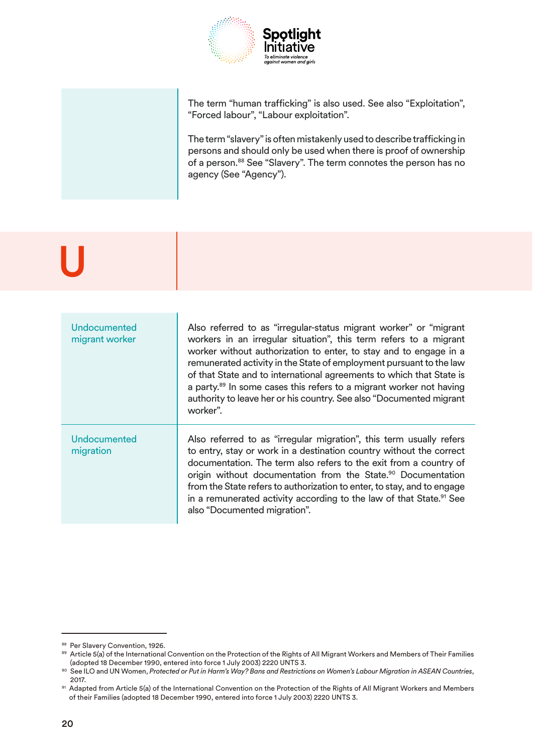<span id="page-27-0"></span>

The term "human trafficking" is also used. See also "Exploitation", "Forced labour", "Labour exploitation".

The term "slavery" is often mistakenly used to describe trafficking in persons and should only be used when there is proof of ownership of a person.<sup>88</sup> See "Slavery". The term connotes the person has no agency (See "Agency").

# U

| Undocumented<br>migrant worker | Also referred to as "irregular-status migrant worker" or "migrant<br>workers in an irregular situation", this term refers to a migrant<br>worker without authorization to enter, to stay and to engage in a<br>remunerated activity in the State of employment pursuant to the law<br>of that State and to international agreements to which that State is<br>a party. <sup>89</sup> In some cases this refers to a migrant worker not having<br>authority to leave her or his country. See also "Documented migrant<br>worker". |
|--------------------------------|----------------------------------------------------------------------------------------------------------------------------------------------------------------------------------------------------------------------------------------------------------------------------------------------------------------------------------------------------------------------------------------------------------------------------------------------------------------------------------------------------------------------------------|
| Undocumented<br>migration      | Also referred to as "irregular migration", this term usually refers<br>to entry, stay or work in a destination country without the correct<br>documentation. The term also refers to the exit from a country of<br>origin without documentation from the State. <sup>90</sup> Documentation<br>from the State refers to authorization to enter, to stay, and to engage<br>in a remunerated activity according to the law of that State. <sup>91</sup> See<br>also "Documented migration".                                        |

<sup>88</sup> Per Slavery Convention, 1926.

<sup>89</sup> Article 5(a) of the International Convention on the Protection of the Rights of All Migrant Workers and Members of Their Families (adopted 18 December 1990, entered into force 1 July 2003) 2220 UNTS 3.

<sup>90</sup> See ILO and UN Women, *Protected or Put in Harm's Way? Bans and Restrictions on Women's Labour Migration in ASEAN Countries*, 2017.

<sup>91</sup> Adapted from Article 5(a) of the International Convention on the Protection of the Rights of All Migrant Workers and Members of their Families (adopted 18 December 1990, entered into force 1 July 2003) 2220 UNTS 3.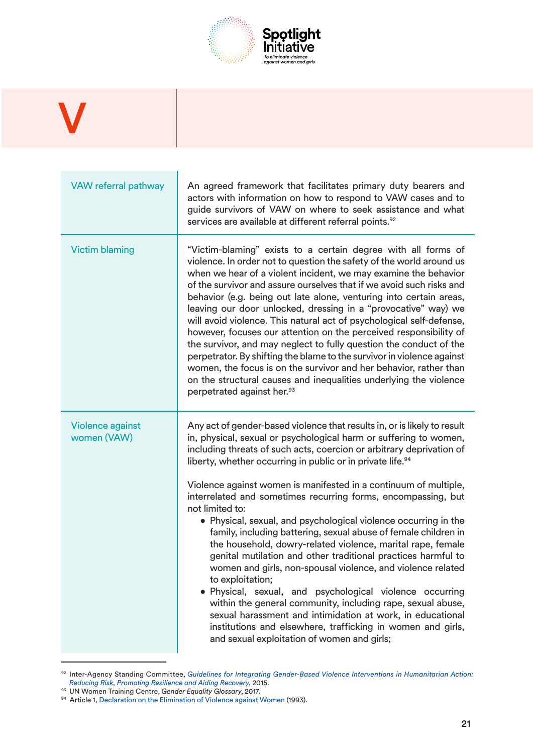

# <span id="page-28-0"></span>V

| VAW referral pathway            | An agreed framework that facilitates primary duty bearers and<br>actors with information on how to respond to VAW cases and to<br>guide survivors of VAW on where to seek assistance and what<br>services are available at different referral points. <sup>92</sup>                                                                                                                                                                                                                                                                                                                                                                                                                                                                                                                                                                                                                                                                                                                                                                                                                                                   |
|---------------------------------|-----------------------------------------------------------------------------------------------------------------------------------------------------------------------------------------------------------------------------------------------------------------------------------------------------------------------------------------------------------------------------------------------------------------------------------------------------------------------------------------------------------------------------------------------------------------------------------------------------------------------------------------------------------------------------------------------------------------------------------------------------------------------------------------------------------------------------------------------------------------------------------------------------------------------------------------------------------------------------------------------------------------------------------------------------------------------------------------------------------------------|
| <b>Victim blaming</b>           | "Victim-blaming" exists to a certain degree with all forms of<br>violence. In order not to question the safety of the world around us<br>when we hear of a violent incident, we may examine the behavior<br>of the survivor and assure ourselves that if we avoid such risks and<br>behavior (e.g. being out late alone, venturing into certain areas,<br>leaving our door unlocked, dressing in a "provocative" way) we<br>will avoid violence. This natural act of psychological self-defense,<br>however, focuses our attention on the perceived responsibility of<br>the survivor, and may neglect to fully question the conduct of the<br>perpetrator. By shifting the blame to the survivor in violence against<br>women, the focus is on the survivor and her behavior, rather than<br>on the structural causes and inequalities underlying the violence<br>perpetrated against her. <sup>93</sup>                                                                                                                                                                                                             |
| Violence against<br>women (VAW) | Any act of gender-based violence that results in, or is likely to result<br>in, physical, sexual or psychological harm or suffering to women,<br>including threats of such acts, coercion or arbitrary deprivation of<br>liberty, whether occurring in public or in private life. <sup>94</sup><br>Violence against women is manifested in a continuum of multiple,<br>interrelated and sometimes recurring forms, encompassing, but<br>not limited to:<br>• Physical, sexual, and psychological violence occurring in the<br>family, including battering, sexual abuse of female children in<br>the household, dowry-related violence, marital rape, female<br>genital mutilation and other traditional practices harmful to<br>women and girls, non-spousal violence, and violence related<br>to exploitation;<br>Physical, sexual, and psychological violence occurring<br>within the general community, including rape, sexual abuse,<br>sexual harassment and intimidation at work, in educational<br>institutions and elsewhere, trafficking in women and girls,<br>and sexual exploitation of women and girls; |

<sup>92</sup> Inter-Agency Standing Committee, *[Guidelines for Integrating Gender-Based Violence Interventions in Humanitarian Action:](https://gbvguidelines.org/wp/wp-content/uploads/2015/09/2015-IASC-Gender-based-Violence-Guidelines_lo-res.pdf)  [Reducing Risk, Promoting Resilience and Aiding Recovery](https://gbvguidelines.org/wp/wp-content/uploads/2015/09/2015-IASC-Gender-based-Violence-Guidelines_lo-res.pdf)*, 2015.

<sup>93</sup> UN Women Training Centre, *Gender Equality Glossary*, 2017.

<sup>94</sup> Article 1, [Declaration on the Elimination of Violence against Women](https://undocs.org/en/A/RES/48/104) (1993).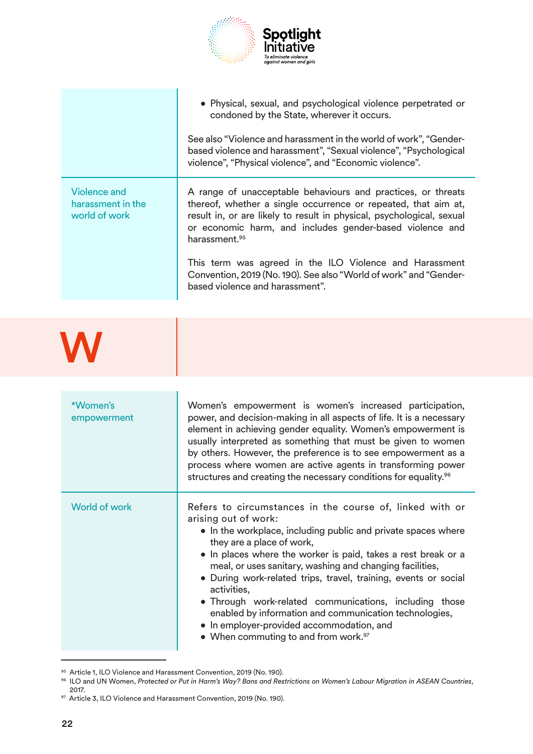

<span id="page-29-0"></span>

|                                                           | • Physical, sexual, and psychological violence perpetrated or<br>condoned by the State, wherever it occurs.<br>See also "Violence and harassment in the world of work", "Gender-<br>based violence and harassment", "Sexual violence", "Psychological<br>violence", "Physical violence", and "Economic violence".                                                                                                                                                                                                                                                                                                  |
|-----------------------------------------------------------|--------------------------------------------------------------------------------------------------------------------------------------------------------------------------------------------------------------------------------------------------------------------------------------------------------------------------------------------------------------------------------------------------------------------------------------------------------------------------------------------------------------------------------------------------------------------------------------------------------------------|
| <b>Violence and</b><br>harassment in the<br>world of work | A range of unacceptable behaviours and practices, or threats<br>thereof, whether a single occurrence or repeated, that aim at,<br>result in, or are likely to result in physical, psychological, sexual<br>or economic harm, and includes gender-based violence and<br>harassment. <sup>95</sup><br>This term was agreed in the ILO Violence and Harassment<br>Convention, 2019 (No. 190). See also "World of work" and "Gender-<br>based violence and harassment".                                                                                                                                                |
|                                                           |                                                                                                                                                                                                                                                                                                                                                                                                                                                                                                                                                                                                                    |
| *Women's<br>empowerment                                   | Women's empowerment is women's increased participation,<br>power, and decision-making in all aspects of life. It is a necessary<br>element in achieving gender equality. Women's empowerment is<br>usually interpreted as something that must be given to women<br>by others. However, the preference is to see empowerment as a<br>process where women are active agents in transforming power<br>structures and creating the necessary conditions for equality. <sup>96</sup>                                                                                                                                    |
| <b>World of work</b>                                      | Refers to circumstances in the course of, linked with or<br>arising out of work:<br>• In the workplace, including public and private spaces where<br>they are a place of work,<br>• In places where the worker is paid, takes a rest break or a<br>meal, or uses sanitary, washing and changing facilities,<br>· During work-related trips, travel, training, events or social<br>activities,<br>• Through work-related communications, including those<br>enabled by information and communication technologies,<br>• In employer-provided accommodation, and<br>• When commuting to and from work. <sup>97</sup> |

<sup>95</sup> Article 1, ILO Violence and Harassment Convention, 2019 (No. 190).

<sup>96</sup> ILO and UN Women, *Protected or Put in Harm's Way? Bans and Restrictions on Women's Labour Migration in ASEAN Countries*,

<sup>97</sup> Article 3, ILO Violence and Harassment Convention, 2019 (No. 190).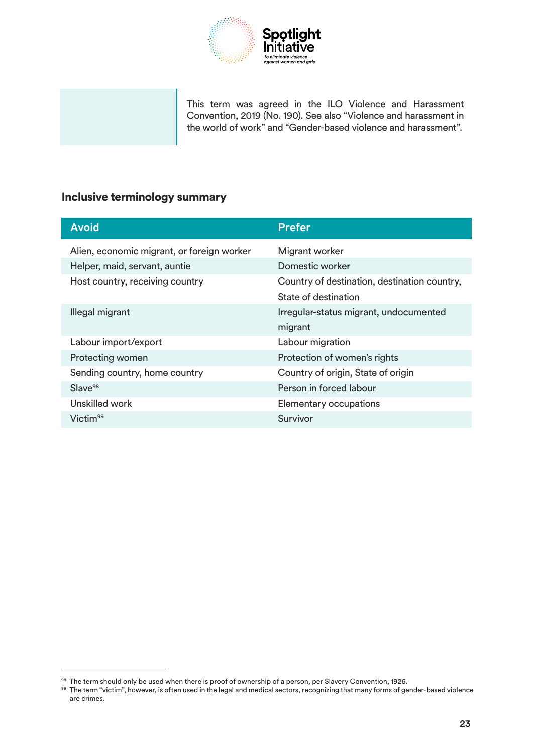

This term was agreed in the ILO Violence and Harassment Convention, 2019 (No. 190). See also "Violence and harassment in the world of work" and "Gender-based violence and harassment".

#### <span id="page-30-0"></span>Inclusive terminology summary

| <b>Avoid</b>                               | <b>Prefer</b>                                                        |
|--------------------------------------------|----------------------------------------------------------------------|
| Alien, economic migrant, or foreign worker | Migrant worker                                                       |
| Helper, maid, servant, auntie              | Domestic worker                                                      |
| Host country, receiving country            | Country of destination, destination country,<br>State of destination |
| Illegal migrant                            | Irregular-status migrant, undocumented<br>migrant                    |
| Labour import/export                       | Labour migration                                                     |
| Protecting women                           | Protection of women's rights                                         |
| Sending country, home country              | Country of origin, State of origin                                   |
| Slave <sup>98</sup>                        | Person in forced labour                                              |
| Unskilled work                             | Elementary occupations                                               |
| Victim <sup>99</sup>                       | Survivor                                                             |

<sup>98</sup> The term should only be used when there is proof of ownership of a person, per Slavery Convention, 1926.

<sup>99</sup> The term "victim", however, is often used in the legal and medical sectors, recognizing that many forms of gender-based violence are crimes.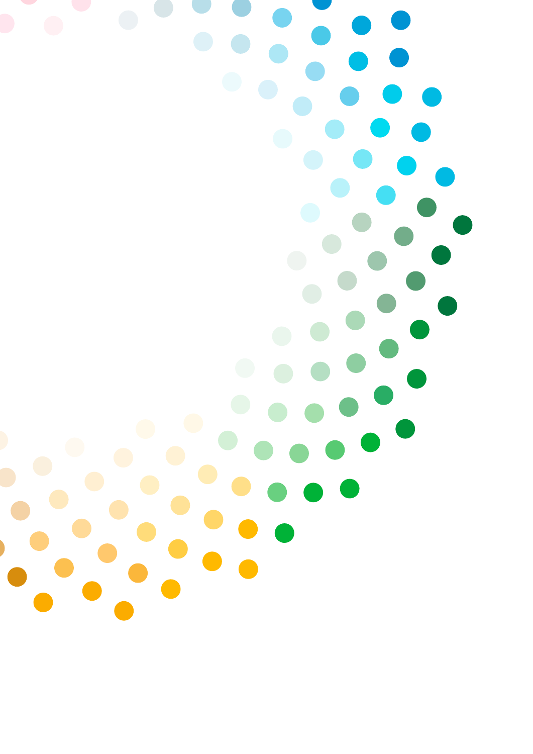Œ ſ  $\bullet$  $\bullet$  $\bullet$  $\bullet$ D  $\bullet$  $\bullet$  $\bullet$ O